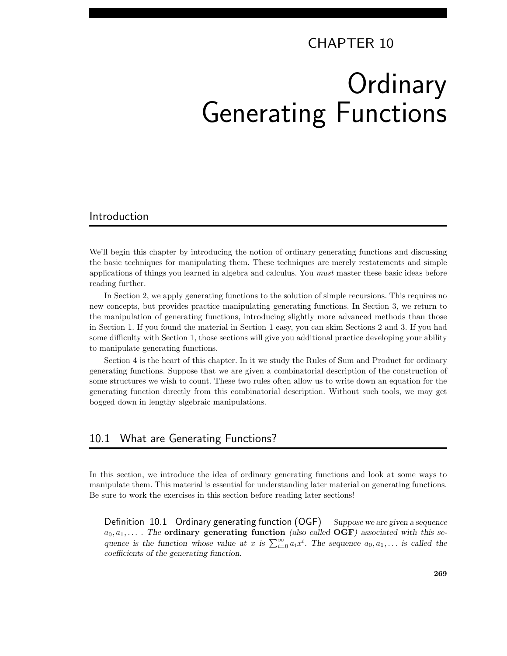# CHAPTER 10 **Ordinary** Generating Functions

# Introduction

We'll begin this chapter by introducing the notion of ordinary generating functions and discussing the basic techniques for manipulating them. These techniques are merely restatements and simple applications of things you learned in algebra and calculus. You *must* master these basic ideas before reading further.

In Section 2, we apply generating functions to the solution of simple recursions. This requires no new concepts, but provides practice manipulating generating functions. In Section 3, we return to the manipulation of generating functions, introducing slightly more advanced methods than those in Section 1. If you found the material in Section 1 easy, you can skim Sections 2 and 3. If you had some difficulty with Section 1, those sections will give you additional practice developing your ability to manipulate generating functions.

Section 4 is the heart of this chapter. In it we study the Rules of Sum and Product for ordinary generating functions. Suppose that we are given a combinatorial description of the construction of some structures we wish to count. These two rules often allow us to write down an equation for the generating function directly from this combinatorial description. Without such tools, we may get bogged down in lengthy algebraic manipulations.

## 10.1 What are Generating Functions?

In this section, we introduce the idea of ordinary generating functions and look at some ways to manipulate them. This material is essential for understanding later material on generating functions. Be sure to work the exercises in this section before reading later sections!

Definition 10.1 Ordinary generating function  $(OGF)$  Suppose we are given a sequence  $a_0, a_1, \ldots$  The ordinary generating function (also called OGF) associated with this sequence is the function whose value at x is  $\sum_{i=0}^{\infty} a_i x^i$ . The sequence  $a_0, a_1, \ldots$  is called the coefficients of the generating function.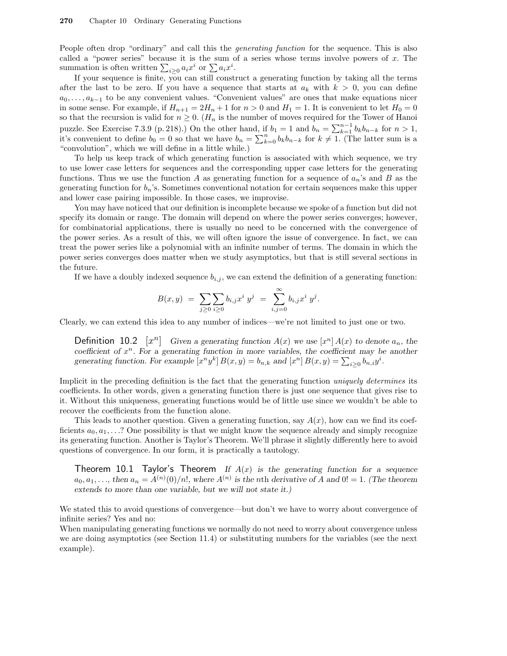People often drop "ordinary" and call this the *generating function* for the sequence. This is also called a "power series" because it is the sum of a series whose terms involve powers of  $x$ . The summation is often written  $\sum_{i\geq 0} a_i x^i$  or  $\sum a_i x^i$ .

If your sequence is finite, you can still construct a generating function by taking all the terms after the last to be zero. If you have a sequence that starts at  $a_k$  with  $k > 0$ , you can define  $a_0, \ldots, a_{k-1}$  to be any convenient values. "Convenient values" are ones that make equations nicer in some sense. For example, if  $H_{n+1} = 2H_n + 1$  for  $n > 0$  and  $H_1 = 1$ . It is convenient to let  $H_0 = 0$ so that the recursion is valid for  $n \geq 0$ . ( $H_n$  is the number of moves required for the Tower of Hanoi puzzle. See Exercise 7.3.9 (p. 218).) On the other hand, if  $b_1 = 1$  and  $b_n = \sum_{k=1}^{n-1} b_k b_{n-k}$  for  $n > 1$ , it's convenient to define  $b_0 = 0$  so that we have  $b_n = \sum_{k=0}^n b_k b_{n-k}$  for  $k \neq 1$ . (The latter sum is a "convolution", which we will define in a little while.)

To help us keep track of which generating function is associated with which sequence, we try to use lower case letters for sequences and the corresponding upper case letters for the generating functions. Thus we use the function A as generating function for a sequence of  $a_n$ 's and B as the generating function for  $b_n$ 's. Sometimes conventional notation for certain sequences make this upper and lower case pairing impossible. In those cases, we improvise.

You may have noticed that our definition is incomplete because we spoke of a function but did not specify its domain or range. The domain will depend on where the power series converges; however, for combinatorial applications, there is usually no need to be concerned with the convergence of the power series. As a result of this, we will often ignore the issue of convergence. In fact, we can treat the power series like a polynomial with an infinite number of terms. The domain in which the power series converges does matter when we study asymptotics, but that is still several sections in the future.

If we have a doubly indexed sequence  $b_{i,j}$ , we can extend the definition of a generating function:

$$
B(x,y) = \sum_{j\geq 0} \sum_{i\geq 0} b_{i,j} x^i y^j = \sum_{i,j=0}^{\infty} b_{i,j} x^i y^j.
$$

Clearly, we can extend this idea to any number of indices—we're not limited to just one or two.

**Definition 10.2**  $[x^n]$  Given a generating function  $A(x)$  we use  $[x^n] A(x)$  to denote  $a_n$ , the coefficient of  $x^n$ . For a generating function in more variables, the coefficient may be another generating function. For example  $[x^n y^k] B(x, y) = b_{n,k}$  and  $[x^n] B(x, y) = \sum_{i \geq 0} b_{n,i} y^i$ .

Implicit in the preceding definition is the fact that the generating function uniquely determines its coefficients. In other words, given a generating function there is just one sequence that gives rise to it. Without this uniqueness, generating functions would be of little use since we wouldn't be able to recover the coefficients from the function alone.

This leads to another question. Given a generating function, say  $A(x)$ , how can we find its coefficients  $a_0, a_1, \ldots$ ? One possibility is that we might know the sequence already and simply recognize its generating function. Another is Taylor's Theorem. We'll phrase it slightly differently here to avoid questions of convergence. In our form, it is practically a tautology.

Theorem 10.1 Taylor's Theorem If  $A(x)$  is the generating function for a sequence  $a_0, a_1, \ldots$ , then  $a_n = A^{(n)}(0)/n!$ , where  $A^{(n)}$  is the nth derivative of A and  $0! = 1$ . (The theorem extends to more than one variable, but we will not state it.)

We stated this to avoid questions of convergence—but don't we have to worry about convergence of infinite series? Yes and no:

When manipulating generating functions we normally do not need to worry about convergence unless we are doing asymptotics (see Section 11.4) or substituting numbers for the variables (see the next example).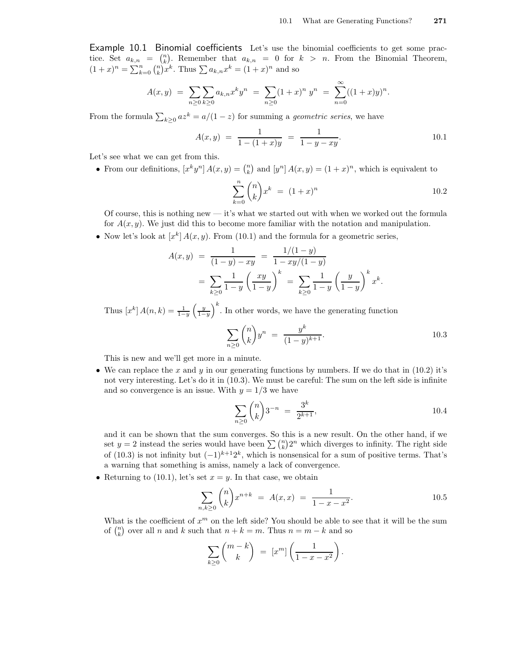Example 10.1 Binomial coefficients Let's use the binomial coefficients to get some practice. Set  $a_{k,n} = \binom{n}{k}$ . Remember that  $a_{k,n} = 0$  for  $k > n$ . From the Binomial Theorem,  $(1+x)^n = \sum_{k=0}^n {n \choose k} x^k$ . Thus  $\sum a_{k,n} x^k = (1+x)^n$  and so

$$
A(x,y) = \sum_{n\geq 0} \sum_{k\geq 0} a_{k,n} x^k y^n = \sum_{n\geq 0} (1+x)^n y^n = \sum_{n=0}^{\infty} ((1+x)y)^n.
$$

From the formula  $\sum_{k\geq 0} a z^k = a/(1-z)$  for summing a *geometric series*, we have

$$
A(x,y) = \frac{1}{1 - (1+x)y} = \frac{1}{1 - y - xy}.
$$
 10.1

Let's see what we can get from this.

• From our definitions,  $[x^k y^n] A(x, y) = \binom{n}{k}$  and  $[y^n] A(x, y) = (1 + x)^n$ , which is equivalent to

$$
\sum_{k=0}^{n} \binom{n}{k} x^{k} = (1+x)^{n} \tag{10.2}
$$

Of course, this is nothing new — it's what we started out with when we worked out the formula for  $A(x, y)$ . We just did this to become more familiar with the notation and manipulation.

• Now let's look at  $[x^k] A(x, y)$ . From (10.1) and the formula for a geometric series,

$$
A(x,y) = \frac{1}{(1-y) - xy} = \frac{1/(1-y)}{1 - xy/(1-y)}
$$
  
= 
$$
\sum_{k\geq 0} \frac{1}{1-y} \left(\frac{xy}{1-y}\right)^k = \sum_{k\geq 0} \frac{1}{1-y} \left(\frac{y}{1-y}\right)^k x^k.
$$

Thus  $[x^k] A(n,k) = \frac{1}{1-y}$  $\left(\frac{y}{1-y}\right)$  $k$ . In other words, we have the generating function

$$
\sum_{n\geq 0} \binom{n}{k} y^n = \frac{y^k}{(1-y)^{k+1}}.
$$

This is new and we'll get more in a minute.

• We can replace the x and y in our generating functions by numbers. If we do that in  $(10.2)$  it's not very interesting. Let's do it in (10.3). We must be careful: The sum on the left side is infinite and so convergence is an issue. With  $y = 1/3$  we have

$$
\sum_{n\geq 0} \binom{n}{k} 3^{-n} = \frac{3^k}{2^{k+1}},\tag{10.4}
$$

and it can be shown that the sum converges. So this is a new result. On the other hand, if we set  $y = 2$  instead the series would have been  $\sum {n \choose k} 2^n$  which diverges to infinity. The right side of (10.3) is not infinity but  $(-1)^{k+1}2^k$ , which is nonsensical for a sum of positive terms. That's a warning that something is amiss, namely a lack of convergence.

• Returning to (10.1), let's set  $x = y$ . In that case, we obtain

$$
\sum_{n,k\geq 0} \binom{n}{k} x^{n+k} = A(x,x) = \frac{1}{1-x-x^2}.
$$

What is the coefficient of  $x^m$  on the left side? You should be able to see that it will be the sum of  $\binom{n}{k}$  over all n and k such that  $n + k = m$ . Thus  $n = m - k$  and so

$$
\sum_{k\geq 0} \binom{m-k}{k} = [x^m] \left( \frac{1}{1-x-x^2} \right).
$$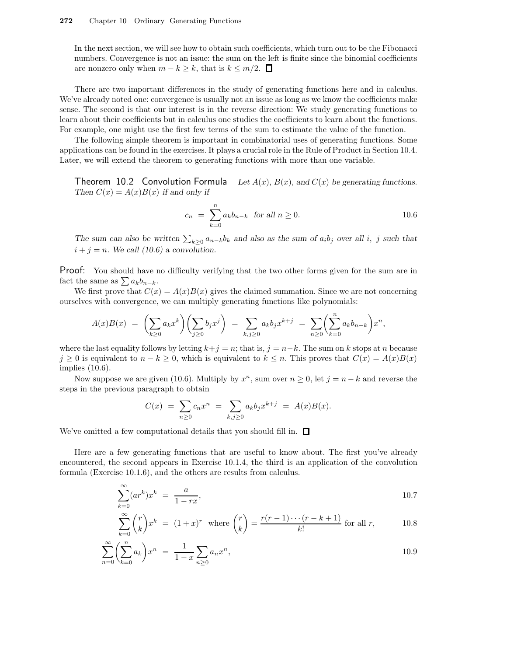In the next section, we will see how to obtain such coefficients, which turn out to be the Fibonacci numbers. Convergence is not an issue: the sum on the left is finite since the binomial coefficients are nonzero only when  $m - k \geq k$ , that is  $k \leq m/2$ . □

There are two important differences in the study of generating functions here and in calculus. We've already noted one: convergence is usually not an issue as long as we know the coefficients make sense. The second is that our interest is in the reverse direction: We study generating functions to learn about their coefficients but in calculus one studies the coefficients to learn about the functions. For example, one might use the first few terms of the sum to estimate the value of the function.

The following simple theorem is important in combinatorial uses of generating functions. Some applications can be found in the exercises. It plays a crucial role in the Rule of Product in Section 10.4. Later, we will extend the theorem to generating functions with more than one variable.

Theorem 10.2 Convolution Formula Let  $A(x)$ ,  $B(x)$ , and  $C(x)$  be generating functions. Then  $C(x) = A(x)B(x)$  if and only if

$$
c_n = \sum_{k=0}^{n} a_k b_{n-k} \text{ for all } n \ge 0.
$$
 10.6

The sum can also be written  $\sum_{k\geq 0} a_{n-k}b_k$  and also as the sum of  $a_i b_j$  over all i, j such that  $i + j = n$ . We call (10.6) a convolution.

Proof: You should have no difficulty verifying that the two other forms given for the sum are in fact the same as  $\sum a_k b_{n-k}$ .

We first prove that  $C(x) = A(x)B(x)$  gives the claimed summation. Since we are not concerning ourselves with convergence, we can multiply generating functions like polynomials:

$$
A(x)B(x) = \left(\sum_{k\geq 0} a_k x^k\right)\left(\sum_{j\geq 0} b_j x^j\right) = \sum_{k,j\geq 0} a_k b_j x^{k+j} = \sum_{n\geq 0} \left(\sum_{k=0}^n a_k b_{n-k}\right) x^n,
$$

where the last equality follows by letting  $k+j = n$ ; that is,  $j = n-k$ . The sum on k stops at n because  $j \geq 0$  is equivalent to  $n - k \geq 0$ , which is equivalent to  $k \leq n$ . This proves that  $C(x) = A(x)B(x)$ implies (10.6).

Now suppose we are given (10.6). Multiply by  $x^n$ , sum over  $n \geq 0$ , let  $j = n - k$  and reverse the steps in the previous paragraph to obtain

$$
C(x) = \sum_{n\geq 0} c_n x^n = \sum_{k,j\geq 0} a_k b_j x^{k+j} = A(x)B(x).
$$

We've omitted a few computational details that you should fill in.  $\Box$ 

Here are a few generating functions that are useful to know about. The first you've already encountered, the second appears in Exercise 10.1.4, the third is an application of the convolution formula (Exercise 10.1.6), and the others are results from calculus.

$$
\sum_{k=0}^{\infty} (ar^k)x^k = \frac{a}{1-rx},\tag{10.7}
$$

$$
\sum_{k=0}^{\infty} {r \choose k} x^k = (1+x)^r \text{ where } {r \choose k} = \frac{r(r-1)\cdots(r-k+1)}{k!} \text{ for all } r,
$$
 10.8

$$
\sum_{n=0}^{\infty} \left( \sum_{k=0}^{n} a_k \right) x^n = \frac{1}{1-x} \sum_{n \ge 0} a_n x^n,
$$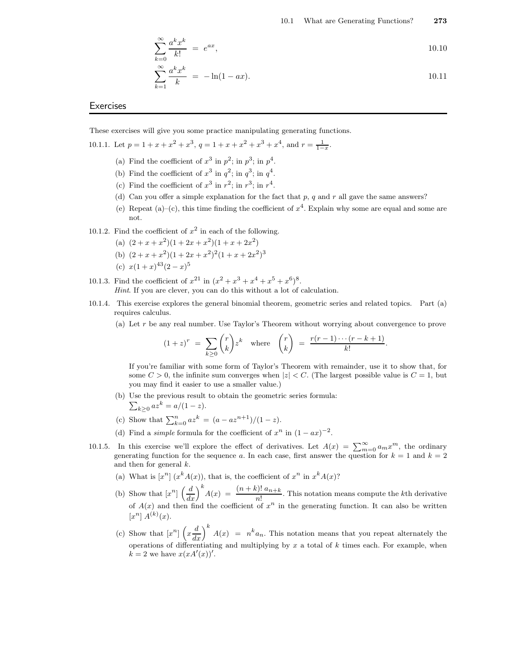$$
\sum_{k=0}^{\infty} \frac{a^k x^k}{k!} = e^{ax}, \qquad 10.10
$$

$$
\sum_{k=1}^{\infty} \frac{a^k x^k}{k} = -\ln(1 - ax). \tag{10.11}
$$

#### **Exercises**

These exercises will give you some practice manipulating generating functions.

10.1.1. Let  $p = 1 + x + x^2 + x^3$ ,  $q = 1 + x + x^2 + x^3 + x^4$ , and  $r = \frac{1}{1-x}$ .

- (a) Find the coefficient of  $x^3$  in  $p^2$ ; in  $p^3$ ; in  $p^4$ .
- (b) Find the coefficient of  $x^3$  in  $q^2$ ; in  $q^3$ ; in  $q^4$ .
- (c) Find the coefficient of  $x^3$  in  $r^2$ ; in  $r^3$ ; in  $r^4$ .
- (d) Can you offer a simple explanation for the fact that p, q and r all gave the same answers?
- (e) Repeat (a)–(c), this time finding the coefficient of  $x^4$ . Explain why some are equal and some are not.
- 10.1.2. Find the coefficient of  $x^2$  in each of the following.
	- (a)  $(2+x+x^2)(1+2x+x^2)(1+x+2x^2)$
	- (b)  $(2+x+x^2)(1+2x+x^2)^2(1+x+2x^2)^3$
	- (c)  $x(1+x)^{43}(2-x)^5$
- 10.1.3. Find the coefficient of  $x^{21}$  in  $(x^2 + x^3 + x^4 + x^5 + x^6)^8$ . Hint. If you are clever, you can do this without a lot of calculation.
- 10.1.4. This exercise explores the general binomial theorem, geometric series and related topics. Part (a) requires calculus.
	- (a) Let  $r$  be any real number. Use Taylor's Theorem without worrying about convergence to prove

$$
(1+z)^r = \sum_{k\geq 0} \binom{r}{k} z^k \quad \text{where} \quad \binom{r}{k} = \frac{r(r-1)\cdots(r-k+1)}{k!}.
$$

If you're familiar with some form of Taylor's Theorem with remainder, use it to show that, for some  $C > 0$ , the infinite sum converges when  $|z| < C$ . (The largest possible value is  $C = 1$ , but you may find it easier to use a smaller value.)

- (b) Use the previous result to obtain the geometric series fo rmula:
	- $\sum_{k\geq 0} az^k = a/(1-z).$
- (c) Show that  $\sum_{k=0}^{n} az^{k} = (a az^{n+1})/(1-z)$ .
- (d) Find a *simple* formula for the coefficient of  $x^n$  in  $(1 ax)^{-2}$ .
- 10.1.5. In this exercise we'll explore the effect of derivatives. Let  $A(x) = \sum_{m=0}^{\infty} a_m x^m$ , the ordinary generating function for the sequence a. In each case, first answer the question for  $k = 1$  and  $k = 2$ and then for general k.
	- (a) What is  $[x^n]$   $(x^k A(x))$ , that is, the coefficient of  $x^n$  in  $x^k A(x)$ ?
	- (b) Show that  $[x^n] \left(\frac{d}{dx}\right)^k A(x) = \frac{(n+k)! \ a_{n+k}}{n!}$ . This notation means compute the kth derivative of  $A(x)$  and then find the coefficient of  $x^n$  in the generating function. It can also be written  $[x^n] A^{(k)}(x).$
	- (c) Show that  $[x^n]$   $\left(x \frac{d}{dx}\right)^k A(x) = n^k a_n$ . This notation means that you repeat alternately the operations of differentiating and multiplying by  $x$  a total of  $k$  times each. For example, when  $k = 2$  we have  $x(xA'(x))'$ .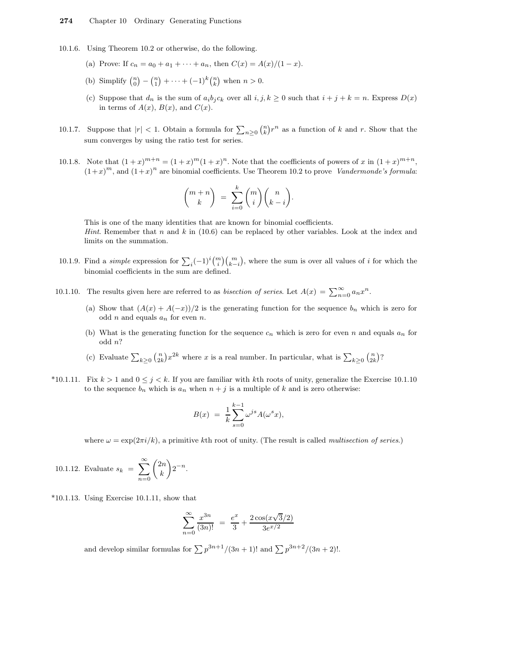- 10.1.6. Using Theorem 10.2 or otherwise, do the following.
	- (a) Prove: If  $c_n = a_0 + a_1 + \cdots + a_n$ , then  $C(x) = A(x)/(1-x)$ .
	- (b) Simplify  $\binom{n}{0} \binom{n}{1} + \cdots + (-1)^k \binom{n}{k}$  when  $n > 0$ .
	- (c) Suppose that  $d_n$  is the sum of  $a_i b_j c_k$  over all  $i, j, k \ge 0$  such that  $i + j + k = n$ . Express  $D(x)$ in terms of  $A(x)$ ,  $B(x)$ , and  $C(x)$ .
- 10.1.7. Suppose that  $|r| < 1$ . Obtain a formula for  $\sum_{n\geq 0} {n \choose k} r^n$  as a function of k and r. Show that the sum converges by using the ratio test for series.
- 10.1.8. Note that  $(1+x)^{m+n} = (1+x)^m(1+x)^n$ . Note that the coefficients of powers of x in  $(1+x)^{m+n}$ ,  $(1+x)^m$ , and  $(1+x)^n$  are binomial coefficients. Use Theorem 10.2 to prove Vandermonde's formula:

$$
\binom{m+n}{k} = \sum_{i=0}^{k} \binom{m}{i} \binom{n}{k-i}.
$$

This is one of the many identities that are known for binomial coefficients. *Hint.* Remember that n and k in (10.6) can be replaced by other variables. Look at the index and limits on the summation.

- 10.1.9. Find a *simple* expression for  $\sum_i (-1)^i \binom{m}{i} \binom{m}{k-i}$ , where the sum is over all values of *i* for which the binomial coefficients in the sum are defined.
- 10.1.10. The results given here are referred to as *bisection of series*. Let  $A(x) = \sum_{n=0}^{\infty} a_n x^n$ .
	- (a) Show that  $(A(x) + A(-x))/2$  is the generating function for the sequence  $b_n$  which is zero for odd n and equals  $a_n$  for even n.
	- (b) What is the generating function for the sequence  $c_n$  which is zero for even n and equals  $a_n$  for odd n?
	- (c) Evaluate  $\sum_{k\geq 0} {n \choose 2k} x^{2k}$  where x is a real number. In particular, what is  $\sum_{k\geq 0} {n \choose 2k}$ ?
- \*10.1.11. Fix  $k > 1$  and  $0 \le j < k$ . If you are familiar with kth roots of unity, generalize the Exercise 10.1.10 to the sequence  $b_n$  which is  $a_n$  when  $n + j$  is a multiple of k and is zero otherwise:

$$
B(x) = \frac{1}{k} \sum_{s=0}^{k-1} \omega^{js} A(\omega^s x),
$$

where  $\omega = \exp(2\pi i / k)$ , a primitive kth root of unity. (The result is called *multisection of series.*)

10.1.12. Evaluate 
$$
s_k = \sum_{n=0}^{\infty} {2n \choose k} 2^{-n}
$$
.

 $*10.1.13$ . Using Exercise 10.1.11, show that

$$
\sum_{n=0}^{\infty} \frac{x^{3n}}{(3n)!} = \frac{e^x}{3} + \frac{2\cos(x\sqrt{3}/2)}{3e^{x/2}}
$$

and develop similar formulas for  $\sum p^{3n+1}/(3n+1)!$  and  $\sum p^{3n+2}/(3n+2)!$ .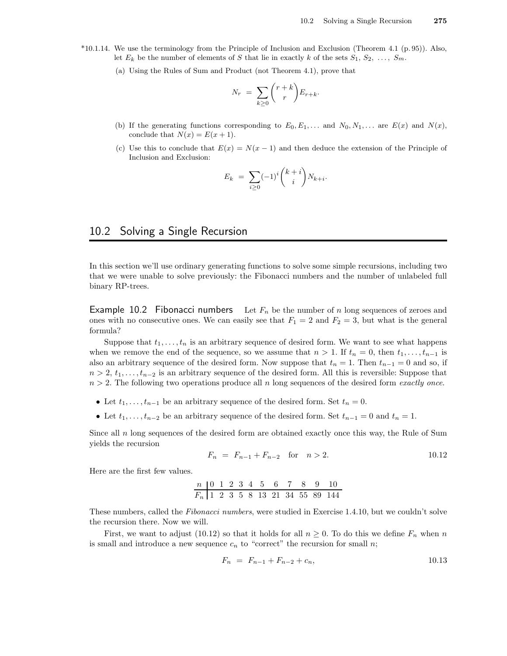- \*10.1.14. We use the terminology from the Principle of Inclusion and Exclusion (Theorem 4.1 (p. 95)). Also, let  $E_k$  be the number of elements of S that lie in exactly k of the sets  $S_1, S_2, \ldots, S_m$ .
	- (a) Using the Rules of Sum and Product (not Theorem 4.1), prove that

$$
N_r = \sum_{k \ge 0} {r+k \choose r} E_{r+k}.
$$

- (b) If the generating functions corresponding to  $E_0, E_1, \ldots$  and  $N_0, N_1, \ldots$  are  $E(x)$  and  $N(x)$ , conclude that  $N(x) = E(x + 1)$ .
- (c) Use this to conclude that  $E(x) = N(x 1)$  and then deduce the extension of the Principle of Inclusion and Exclusion:

$$
E_k = \sum_{i \geq 0} (-1)^i \binom{k+i}{i} N_{k+i}.
$$

# 10.2 Solving a Single Recursion

In this section we'll use ordinary generating functions to solve some simple recursions, including two that we were unable to solve previously: the Fibonacci numbers and the number of unlabeled full binary RP-trees.

**Example 10.2 Fibonacci numbers** Let  $F_n$  be the number of n long sequences of zeroes and ones with no consecutive ones. We can easily see that  $F_1 = 2$  and  $F_2 = 3$ , but what is the general formula?

Suppose that  $t_1, \ldots, t_n$  is an arbitrary sequence of desired form. We want to see what happens when we remove the end of the sequence, so we assume that  $n > 1$ . If  $t_n = 0$ , then  $t_1, \ldots, t_{n-1}$  is also an arbitrary sequence of the desired form. Now suppose that  $t_n = 1$ . Then  $t_{n-1} = 0$  and so, if  $n > 2$ ,  $t_1, \ldots, t_{n-2}$  is an arbitrary sequence of the desired form. All this is reversible: Suppose that  $n > 2$ . The following two operations produce all n long sequences of the desired form exactly once.

- Let  $t_1, \ldots, t_{n-1}$  be an arbitrary sequence of the desired form. Set  $t_n = 0$ .
- Let  $t_1, \ldots, t_{n-2}$  be an arbitrary sequence of the desired form. Set  $t_{n-1} = 0$  and  $t_n = 1$ .

Since all  $n$  long sequences of the desired form are obtained exactly once this way, the Rule of Sum yields the recursion

$$
F_n = F_{n-1} + F_{n-2} \quad \text{for} \quad n > 2. \tag{10.12}
$$

Here are the first few values.

$$
\begin{array}{c|cccccccccccc}\nn & 0 & 1 & 2 & 3 & 4 & 5 & 6 & 7 & 8 & 9 & 10 \\
\hline\nF_n & 1 & 2 & 3 & 5 & 8 & 13 & 21 & 34 & 55 & 89 & 144\n\end{array}
$$

These numbers, called the Fibonacci numbers, were studied in Exercise 1.4.10, but we couldn't solve the recursion there. Now we will.

First, we want to adjust (10.12) so that it holds for all  $n \geq 0$ . To do this we define  $F_n$  when n is small and introduce a new sequence  $c_n$  to "correct" the recursion for small n;

$$
F_n = F_{n-1} + F_{n-2} + c_n, \tag{10.13}
$$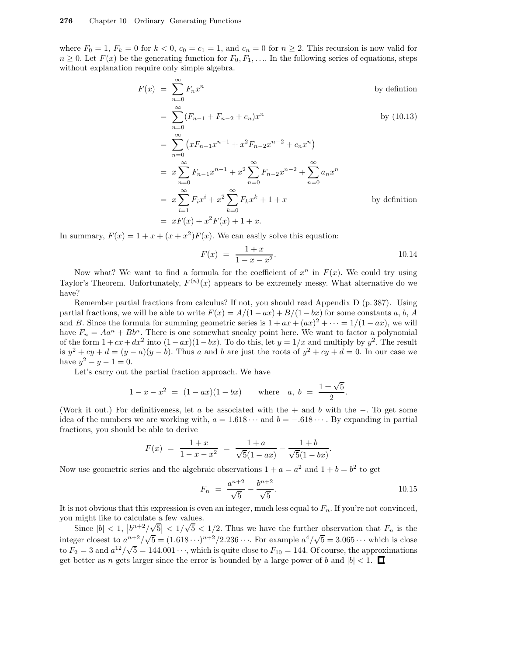where  $F_0 = 1$ ,  $F_k = 0$  for  $k < 0$ ,  $c_0 = c_1 = 1$ , and  $c_n = 0$  for  $n \ge 2$ . This recursion is now valid for  $n \geq 0$ . Let  $F(x)$  be the generating function for  $F_0, F_1, \ldots$  In the following series of equations, steps without explanation require only simple algebra.

$$
F(x) = \sum_{n=0}^{\infty} F_n x^n
$$
 by definition  
\n
$$
= \sum_{n=0}^{\infty} (F_{n-1} + F_{n-2} + c_n) x^n
$$
 by (10.13)  
\n
$$
= \sum_{n=0}^{\infty} (xF_{n-1}x^{n-1} + x^2 F_{n-2}x^{n-2} + c_n x^n)
$$
  
\n
$$
= x \sum_{n=0}^{\infty} F_{n-1}x^{n-1} + x^2 \sum_{n=0}^{\infty} F_{n-2}x^{n-2} + \sum_{n=0}^{\infty} a_n x^n
$$
  
\n
$$
= x \sum_{i=1}^{\infty} F_i x^i + x^2 \sum_{k=0}^{\infty} F_k x^k + 1 + x
$$
 by definition  
\n
$$
= xF(x) + x^2 F(x) + 1 + x.
$$

In summary,  $F(x) = 1 + x + (x + x^2)F(x)$ . We can easily solve this equation:

$$
F(x) = \frac{1+x}{1-x-x^2}.
$$
 10.14

Now what? We want to find a formula for the coefficient of  $x^n$  in  $F(x)$ . We could try using Taylor's Theorem. Unfortunately,  $F^{(n)}(x)$  appears to be extremely messy. What alternative do we have?

Remember partial fractions from calculus? If not, you should read Appendix D (p. 387). Using partial fractions, we will be able to write  $F(x) = A/(1 - ax) + B/(1 - bx)$  for some constants a, b, A and B. Since the formula for summing geometric series is  $1 + ax + (ax)^2 + \cdots = 1/(1 - ax)$ , we will have  $F_n = Aa^n + Bb^n$ . There is one somewhat sneaky point here. We want to factor a polynomial of the form  $1+cx+dx^2$  into  $(1-ax)(1-bx)$ . To do this, let  $y=1/x$  and multiply by  $y^2$ . The result is  $y^2 + cy + d = (y - a)(y - b)$ . Thus a and b are just the roots of  $y^2 + cy + d = 0$ . In our case we have  $y^2 - y - 1 = 0$ .

Let's carry out the partial fraction approach. We have

$$
1-x-x^2 = (1-ax)(1-bx)
$$
 where  $a, b = \frac{1 \pm \sqrt{5}}{2}$ .

(Work it out.) For definitiveness, let a be associated with the + and b with the  $-$ . To get some idea of the numbers we are working with,  $a = 1.618 \cdots$  and  $b = -.618 \cdots$ . By expanding in partial fractions, you should be able to derive

$$
F(x) = \frac{1+x}{1-x-x^2} = \frac{1+a}{\sqrt{5}(1-ax)} - \frac{1+b}{\sqrt{5}(1-bx)}.
$$

Now use geometric series and the algebraic observations  $1 + a = a^2$  and  $1 + b = b^2$  to get

$$
F_n = \frac{a^{n+2}}{\sqrt{5}} - \frac{b^{n+2}}{\sqrt{5}}.
$$

It is not obvious that this expression is even an integer, much less equal to  $F_n$ . If you're not convinced, you might like to calculate a few values.

Since  $|b| < 1$ ,  $|b^{n+2}/\sqrt{5}| < 1/\sqrt{5} < 1/2$ . Thus we have the further observation that  $F_n$  is the integer closest to  $a^{n+2}/\sqrt{5} = (1.618 \cdots)^{n+2}/2.236 \cdots$ . For example  $a^4/\sqrt{5} = 3.065 \cdots$  which is close to  $F_2 = 3$  and  $a^{12}/\sqrt{5} = 144.001 \cdots$ , which is quite close to  $F_{10} = 144$ . Of course, the approximations get better as *n* gets larger since the error is bounded by a large power of b and  $|b| < 1$ .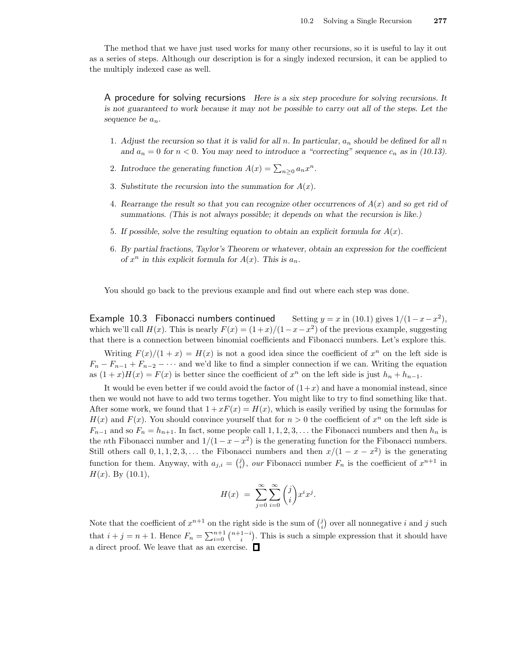The method that we have just used works for many other recursions, so it is useful to lay it out as a series of steps. Although our description is for a singly indexed recursion, it can be applied to the multiply indexed case as well.

A procedure for solving recursions Here is a six step procedure for solving recursions. It is not guaranteed to work because it may not be possible to carry out all of the steps. Let the sequence be  $a_n$ .

- 1. Adjust the recursion so that it is valid for all n. In particular,  $a_n$  should be defined for all n and  $a_n = 0$  for  $n < 0$ . You may need to introduce a "correcting" sequence  $c_n$  as in (10.13).
- 2. Introduce the generating function  $A(x) = \sum_{n\geq 0} a_n x^n$ .
- 3. Substitute the recursion into the summation for  $A(x)$ .
- 4. Rearrange the result so that you can recognize other occurrences of  $A(x)$  and so get rid of summations. (This is not always possible; it depends on what the recursion is like.)
- 5. If possible, solve the resulting equation to obtain an explicit formula for  $A(x)$ .
- 6. By partial fractions, Taylor's Theorem or whatever, obtain an expression for the coefficient of  $x^n$  in this explicit formula for  $A(x)$ . This is  $a_n$ .

You should go back to the previous example and find out where each step was done.

Example 10.3 Fibonacci numbers continued 2 ), which we'll call  $H(x)$ . This is nearly  $F(x) = (1+x)/(1-x-x^2)$  of the previous example, suggesting that there is a connection between binomial coefficients and Fibonacci numbers. Let's explore this.

Writing  $F(x)/(1+x) = H(x)$  is not a good idea since the coefficient of  $x^n$  on the left side is  $F_n - F_{n-1} + F_{n-2} - \cdots$  and we'd like to find a simpler connection if we can. Writing the equation as  $(1+x)H(x) = F(x)$  is better since the coefficient of  $x^n$  on the left side is just  $h_n + h_{n-1}$ .

It would be even better if we could avoid the factor of  $(1+x)$  and have a monomial instead, since then we would not have to add two terms together. You might like to try to find something like that. After some work, we found that  $1 + xF(x) = H(x)$ , which is easily verified by using the formulas for  $H(x)$  and  $F(x)$ . You should convince yourself that for  $n > 0$  the coefficient of  $x^n$  on the left side is  $F_{n-1}$  and so  $F_n = h_{n+1}$ . In fact, some people call 1, 1, 2, 3, ... the Fibonacci numbers and then  $h_n$  is the *n*th Fibonacci number and  $1/(1 - x - x^2)$  is the generating function for the Fibonacci numbers. Still others call  $0, 1, 1, 2, 3, \ldots$  the Fibonacci numbers and then  $x/(1-x-x^2)$  is the generating function for them. Anyway, with  $a_{j,i} = \binom{j}{i}$ , our Fibonacci number  $F_n$  is the coefficient of  $x^{n+1}$  in  $H(x)$ . By  $(10.1)$ ,

$$
H(x) = \sum_{j=0}^{\infty} \sum_{i=0}^{\infty} {j \choose i} x^i x^j.
$$

Note that the coefficient of  $x^{n+1}$  on the right side is the sum of  $(i)$  over all nonnegative i and j such that  $i + j = n + 1$ . Hence  $F_n = \sum_{i=0}^{n+1} {n+1-i \choose i}$ . This is such a simple expression that it should have a direct proof. We leave that as an exercise.  $\Box$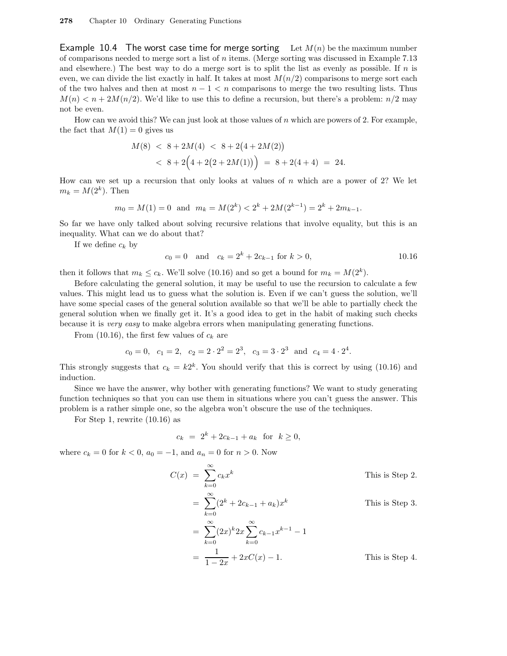Example 10.4 The worst case time for merge sorting Let  $M(n)$  be the maximum number of comparisons needed to merge sort a list of  $n$  items. (Merge sorting was discussed in Example 7.13) and elsewhere.) The best way to do a merge sort is to split the list as evenly as possible. If  $n$  is even, we can divide the list exactly in half. It takes at most  $M(n/2)$  comparisons to merge sort each of the two halves and then at most  $n - 1 < n$  comparisons to merge the two resulting lists. Thus  $M(n) < n + 2M(n/2)$ . We'd like to use this to define a recursion, but there's a problem:  $n/2$  may not be even.

How can we avoid this? We can just look at those values of  $n$  which are powers of 2. For example, the fact that  $M(1) = 0$  gives us

$$
M(8) < 8 + 2M(4) < 8 + 2(4 + 2M(2))
$$
\n
$$
< 8 + 2\left(4 + 2(2 + 2M(1))\right) = 8 + 2(4 + 4) = 24.
$$

How can we set up a recursion that only looks at values of  $n$  which are a power of 2? We let  $m_k = M(2^k)$ . Then

$$
m_0 = M(1) = 0
$$
 and  $m_k = M(2^k) < 2^k + 2M(2^{k-1}) = 2^k + 2m_{k-1}$ .

So far we have only talked about solving recursive relations that involve equality, but this is an inequality. What can we do about that?

If we define  $c_k$  by

$$
c_0 = 0 \quad \text{and} \quad c_k = 2^k + 2c_{k-1} \text{ for } k > 0,
$$
 (10.16)

then it follows that  $m_k \leq c_k$ . We'll solve (10.16) and so get a bound for  $m_k = M(2^k)$ .

Before calculating the general solution, it may be useful to use the recursion to calculate a few values. This might lead us to guess what the solution is. Even if we can't guess the solution, we'll have some special cases of the general solution available so that we'll be able to partially check the general solution when we finally get it. It's a good idea to get in the habit of making such checks because it is very easy to make algebra errors when manipulating generating functions.

From (10.16), the first few values of  $c_k$  are

$$
c_0 = 0
$$
,  $c_1 = 2$ ,  $c_2 = 2 \cdot 2^2 = 2^3$ ,  $c_3 = 3 \cdot 2^3$  and  $c_4 = 4 \cdot 2^4$ .

This strongly suggests that  $c_k = k2^k$ . You should verify that this is correct by using (10.16) and induction.

Since we have the answer, why bother with generating functions? We want to study generating function techniques so that you can use them in situations where you can't guess the answer. This problem is a rather simple one, so the algebra won't obscure the use of the techniques.

For Step 1, rewrite (10.16) as

$$
c_k = 2^k + 2c_{k-1} + a_k \text{ for } k \ge 0,
$$

where  $c_k = 0$  for  $k < 0$ ,  $a_0 = -1$ , and  $a_n = 0$  for  $n > 0$ . Now

$$
C(x) = \sum_{k=0}^{\infty} c_k x^k
$$
 This is Step 2.  
\n
$$
= \sum_{k=0}^{\infty} (2^k + 2c_{k-1} + a_k) x^k
$$
 This is Step 3.  
\n
$$
= \sum_{k=0}^{\infty} (2x)^k 2x \sum_{k=0}^{\infty} c_{k-1} x^{k-1} - 1
$$
  
\n
$$
= \frac{1}{1 - 2x} + 2xC(x) - 1.
$$
 This is Step 4.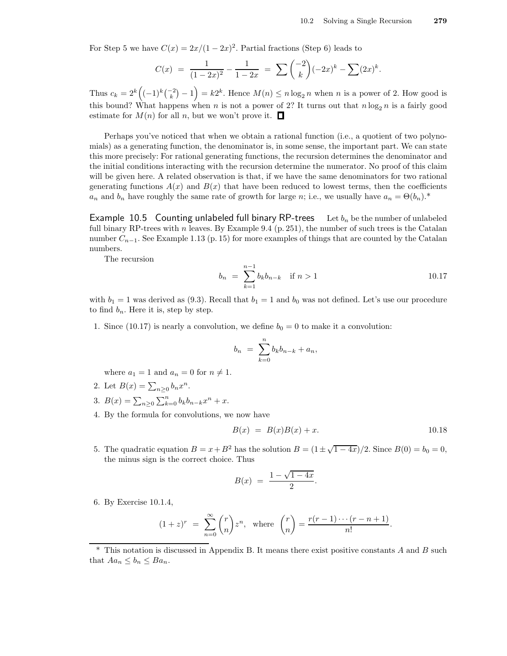For Step 5 we have  $C(x) = 2x/(1-2x)^2$ . Partial fractions (Step 6) leads to

$$
C(x) = \frac{1}{(1-2x)^2} - \frac{1}{1-2x} = \sum \binom{-2}{k} (-2x)^k - \sum (2x)^k.
$$

Thus  $c_k = 2^k ((-1)^k {2 \choose k} - 1) = k2^k$ . Hence  $M(n) \le n \log_2 n$  when n is a power of 2. How good is this bound? What happens when n is not a power of 2? It turns out that  $n \log_2 n$  is a fairly good estimate for  $M(n)$  for all n, but we won't prove it.  $\Box$ 

Perhaps you've noticed that when we obtain a rational function (i.e., a quotient of two polynomials) as a generating function, the denominator is, in some sense, the important part. We can state this more precisely: For rational generating functions, the recursion determines the denominator and the initial conditions interacting with the recursion determine the numerator. No proof of this claim will be given here. A related observation is that, if we have the same denominators for two rational generating functions  $A(x)$  and  $B(x)$  that have been reduced to lowest terms, then the coefficients  $a_n$  and  $b_n$  have roughly the same rate of growth for large n; i.e., we usually have  $a_n = \Theta(b_n)^*$ .

Example 10.5 Counting unlabeled full binary RP-trees Let  $b_n$  be the number of unlabeled full binary RP-trees with n leaves. By Example 9.4  $(p. 251)$ , the number of such trees is the Catalan number  $C_{n-1}$ . See Example 1.13 (p. 15) for more examples of things that are counted by the Catalan numbers.

The recursion

$$
b_n = \sum_{k=1}^{n-1} b_k b_{n-k} \quad \text{if } n > 1 \tag{10.17}
$$

with  $b_1 = 1$  was derived as (9.3). Recall that  $b_1 = 1$  and  $b_0$  was not defined. Let's use our procedure to find  $b_n$ . Here it is, step by step.

1. Since (10.17) is nearly a convolution, we define  $b_0 = 0$  to make it a convolution:

$$
b_n = \sum_{k=0}^n b_k b_{n-k} + a_n,
$$

where  $a_1 = 1$  and  $a_n = 0$  for  $n \neq 1$ .

- 2. Let  $B(x) = \sum_{n\geq 0} b_n x^n$ .
- 3.  $B(x) = \sum_{n\geq 0} \sum_{k=0}^{n} b_k b_{n-k} x^n + x.$
- 4. By the formula for convolutions, we now have

$$
B(x) = B(x)B(x) + x.
$$
 10.18

5. The quadratic equation  $B = x + B^2$  has the solution  $B = (1 \pm \sqrt{1-4x})/2$ . Since  $B(0) = b_0 = 0$ , the minus sign is the correct choice. Thus

$$
B(x) = \frac{1 - \sqrt{1 - 4x}}{2}.
$$

6. By Exercise 10.1.4,

$$
(1+z)^r = \sum_{n=0}^{\infty} {r \choose n} z^n, \text{ where } {r \choose n} = \frac{r(r-1)\cdots(r-n+1)}{n!}.
$$

 $*$  This notation is discussed in Appendix B. It means there exist positive constants A and B such that  $Aa_n \leq b_n \leq Ba_n$ .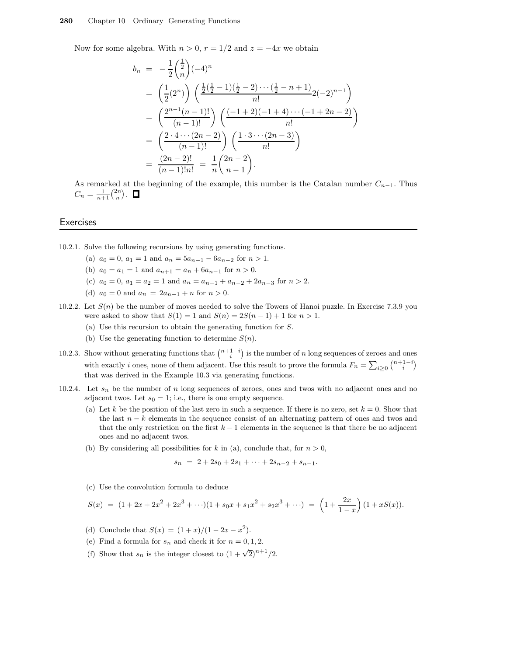Now for some algebra. With  $n > 0$ ,  $r = 1/2$  and  $z = -4x$  we obtain

$$
b_n = -\frac{1}{2} \binom{\frac{1}{2}}{n} (-4)^n
$$
  
=  $\left(\frac{1}{2} (2^n)\right) \left(\frac{\frac{1}{2} (\frac{1}{2} - 1)(\frac{1}{2} - 2) \cdots (\frac{1}{2} - n + 1)}{n!} 2(-2)^{n-1}\right)$   
=  $\left(\frac{2^{n-1} (n-1)!}{(n-1)!}\right) \left(\frac{(-1+2)(-1+4) \cdots (-1+2n-2)}{n!}\right)$   
=  $\left(\frac{2 \cdot 4 \cdots (2n-2)}{(n-1)!}\right) \left(\frac{1 \cdot 3 \cdots (2n-3)}{n!}\right)$   
=  $\frac{(2n-2)!}{(n-1)!n!} = \frac{1}{n} \binom{2n-2}{n-1}.$ 

As remarked at the beginning of the example, this number is the Catalan number  $C_{n-1}$ . Thus  $C_n = \frac{1}{n+1} {2n \choose n}.$ 

#### **Exercises**

- 10.2.1. Solve the following recursions by using generating functions.
	- (a)  $a_0 = 0$ ,  $a_1 = 1$  and  $a_n = 5a_{n-1} 6a_{n-2}$  for  $n > 1$ .
	- (b)  $a_0 = a_1 = 1$  and  $a_{n+1} = a_n + 6a_{n-1}$  for  $n > 0$ .
	- (c)  $a_0 = 0$ ,  $a_1 = a_2 = 1$  and  $a_n = a_{n-1} + a_{n-2} + 2a_{n-3}$  for  $n > 2$ .
	- (d)  $a_0 = 0$  and  $a_n = 2a_{n-1} + n$  for  $n > 0$ .
- 10.2.2. Let  $S(n)$  be the number of moves needed to solve the Towers of Hanoi puzzle. In Exercise 7.3.9 you were asked to show that  $S(1) = 1$  and  $S(n) = 2S(n - 1) + 1$  for  $n > 1$ .
	- (a) Use this recursion to obtain the generating function for S.
	- (b) Use the generating function to determine  $S(n)$ .
- 10.2.3. Show without generating functions that  $\binom{n+1-i}{i}$  is the number of n long sequences of zeroes and ones with exactly i ones, none of them adjacent. Use this result to prove the formula  $F_n = \sum_{i \geq 0} {n+1-i \choose i}$ that was derived in the Example 10.3 via generating functions.
- 10.2.4. Let  $s_n$  be the number of n long sequences of zeroes, ones and twos with no adjacent ones and no adjacent twos. Let  $s_0 = 1$ ; i.e., there is one empty sequence.
	- (a) Let k be the position of the last zero in such a sequence. If there is no zero, set  $k = 0$ . Show that the last  $n - k$  elements in the sequence consist of an alternating pattern of ones and twos and that the only restriction on the first  $k - 1$  elements in the sequence is that there be no adjacent ones and no adjacent twos.
	- (b) By considering all possibilities for k in (a), conclude that, for  $n > 0$ ,

$$
s_n = 2 + 2s_0 + 2s_1 + \dots + 2s_{n-2} + s_{n-1}.
$$

(c) Use the convolution formula to deduce

$$
S(x) = (1 + 2x + 2x2 + 2x3 + \cdots)(1 + s_0x + s_1x2 + s_2x3 + \cdots) = \left(1 + \frac{2x}{1 - x}\right)(1 + xS(x)).
$$

- (d) Conclude that  $S(x) = (1+x)/(1-2x-x^2)$ .
- (e) Find a formula for  $s_n$  and check it for  $n = 0, 1, 2$ .
- (f) Show that  $s_n$  is the integer closest to  $(1 + \sqrt{2})^{n+1}/2$ .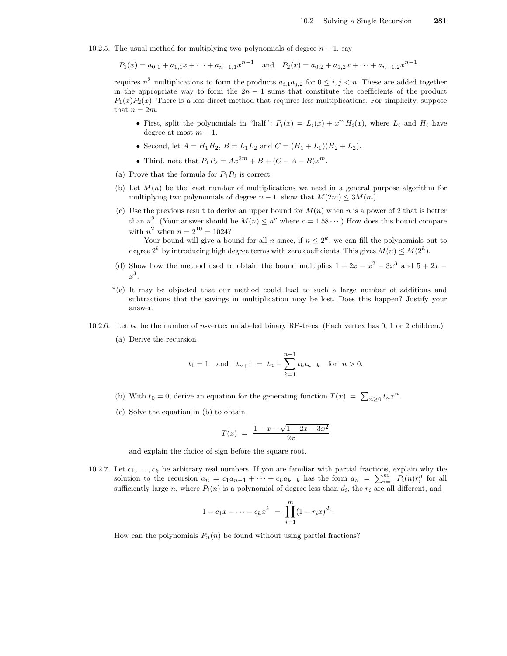10.2.5. The usual method for multiplying two polynomials of degree  $n-1$ , say

 $P_1(x) = a_{0,1} + a_{1,1}x + \dots + a_{n-1,1}x^{n-1}$  and  $P_2(x) = a_{0,2} + a_{1,2}x + \dots + a_{n-1,2}x^{n-1}$ 

requires  $n^2$  multiplications to form the products  $a_{i,1}a_{j,2}$  for  $0 \leq i,j \leq n$ . These are added together in the appropriate way to form the  $2n - 1$  sums that constitute the coefficients of the product  $P_1(x)P_2(x)$ . There is a less direct method that requires less multiplications. For simplicity, suppose that  $n = 2m$ .

- First, split the polynomials in "half":  $P_i(x) = L_i(x) + x^m H_i(x)$ , where  $L_i$  and  $H_i$  have degree at most  $m - 1$ .
- Second, let  $A = H_1 H_2$ ,  $B = L_1 L_2$  and  $C = (H_1 + L_1)(H_2 + L_2)$ .
- Third, note that  $P_1 P_2 = Ax^{2m} + B + (C A B)x^m$ .
- (a) Prove that the formula for  $P_1P_2$  is correct.
- (b) Let  $M(n)$  be the least number of multiplications we need in a general purpose algorithm for multiplying two polynomials of degree  $n - 1$ . show that  $M(2m) \leq 3M(m)$ .
- (c) Use the previous result to derive an upper bound for  $M(n)$  when n is a power of 2 that is better than  $n^2$ . (Your answer should be  $M(n) \leq n^c$  where  $c = 1.58 \cdots$ .) How does this bound compare with  $n^2$  when  $n = 2^{10} = 1024$ ?

Your bound will give a bound for all n since, if  $n \leq 2^k$ , we can fill the polynomials out to degree  $2^k$  by introducing high degree terms with zero coefficients. This gives  $M(n) \leq M(2^k)$ .

- (d) Show how the method used to obtain the bound multiplies  $1 + 2x x^2 + 3x^3$  and  $5 + 2x$  $x^3$ .
- \*(e) It may be objected that our method could lead to such a large number of additions and subtractions that the savings in multiplication may be lost. Does this happen? Justify your answer.
- 10.2.6. Let  $t_n$  be the number of *n*-vertex unlabeled binary RP-trees. (Each vertex has 0, 1 or 2 children.)
	- (a) Derive the recursion

$$
t_1 = 1
$$
 and  $t_{n+1} = t_n + \sum_{k=1}^{n-1} t_k t_{n-k}$  for  $n > 0$ .

- (b) With  $t_0 = 0$ , derive an equation for the generating function  $T(x) = \sum_{n \geq 0} t_n x^n$ .
- (c) Solve the equation in (b) to obtain

$$
T(x) = \frac{1 - x - \sqrt{1 - 2x - 3x^2}}{2x}
$$

and explain the choice of sign before the square root.

10.2.7. Let  $c_1, \ldots, c_k$  be arbitrary real numbers. If you are familiar with partial fractions, explain why the solution to the recursion  $a_n = c_1 a_{n-1} + \cdots + c_k a_{k-k}$  has the form  $a_n = \sum_{i=1}^m P_i(n) r_i^n$  for all sufficiently large n, where  $P_i(n)$  is a polynomial of degree less than  $d_i$ , the  $r_i$  are all different, and

$$
1 - c_1 x - \dots - c_k x^k = \prod_{i=1}^m (1 - r_i x)^{d_i}.
$$

How can the polynomials  $P_n(n)$  be found without using partial fractions?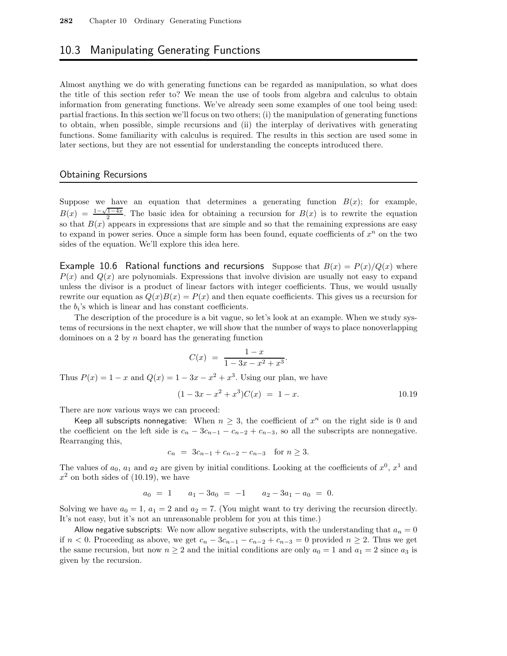## 10.3 Manipulating Generating Functions

Almost anything we do with generating functions can be regarded as manipulation, so what does the title of this section refer to? We mean the use of tools from algebra and calculus to obtain information from generating functions. We've already seen some examples of one tool being used: partial fractions. In this section we'll focus on two others; (i) the manipulation of generating functions to obtain, when possible, simple recursions and (ii) the interplay of derivatives with generating functions. Some familiarity with calculus is required. The results in this section are used some in later sections, but they are not essential for understanding the concepts introduced there.

#### Obtaining Recursions

Suppose we have an equation that determines a generating function  $B(x)$ ; for example,  $B(x) = \frac{1-\sqrt{1-4x}}{2}$ . The basic idea for obtaining a recursion for  $B(x)$  is to rewrite the equation  $B(x) = \frac{2}{2}$ . The basic decal for obtaining a recursion for  $D(x)$  is to rewrite the equation so that  $B(x)$  appears in expressions that are simple and so that the remaining expressions are easy to expand in power series. Once a simple form has been found, equate coefficients of  $x^n$  on the two sides of the equation. We'll explore this idea here.

Example 10.6 Rational functions and recursions Suppose that  $B(x) = P(x)/Q(x)$  where  $P(x)$  and  $Q(x)$  are polynomials. Expressions that involve division are usually not easy to expand unless the divisor is a product of linear factors with integer coefficients. Thus, we would usually rewrite our equation as  $Q(x)B(x) = P(x)$  and then equate coefficients. This gives us a recursion for the  $b_i$ 's which is linear and has constant coefficients.

The description of the procedure is a bit vague, so let's look at an example. When we study systems of recursions in the next chapter, we will show that the number of ways to place nonoverlapping dominoes on a 2 by  $n$  board has the generating function

$$
C(x) = \frac{1-x}{1-3x-x^2+x^3}.
$$

Thus  $P(x) = 1 - x$  and  $Q(x) = 1 - 3x - x^2 + x^3$ . Using our plan, we have

$$
(1 - 3x - x2 + x3)C(x) = 1 - x.
$$
 10.19

There are now various ways we can proceed:

Keep all subscripts nonnegative: When  $n \geq 3$ , the coefficient of  $x^n$  on the right side is 0 and the coefficient on the left side is  $c_n - 3c_{n-1} - c_{n-2} + c_{n-3}$ , so all the subscripts are nonnegative. Rearranging this,

$$
c_n = 3c_{n-1} + c_{n-2} - c_{n-3} \text{ for } n \ge 3.
$$

The values of  $a_0$ ,  $a_1$  and  $a_2$  are given by initial conditions. Looking at the coefficients of  $x^0$ ,  $x^1$  and  $x^2$  on both sides of (10.19), we have

$$
a_0 = 1 \qquad a_1 - 3a_0 = -1 \qquad a_2 - 3a_1 - a_0 = 0.
$$

Solving we have  $a_0 = 1$ ,  $a_1 = 2$  and  $a_2 = 7$ . (You might want to try deriving the recursion directly. It's not easy, but it's not an unreasonable problem for you at this time.)

Allow negative subscripts: We now allow negative subscripts, with the understanding that  $a_n = 0$ if  $n < 0$ . Proceeding as above, we get  $c_n - 3c_{n-1} - c_{n-2} + c_{n-3} = 0$  provided  $n \ge 2$ . Thus we get the same recursion, but now  $n \geq 2$  and the initial conditions are only  $a_0 = 1$  and  $a_1 = 2$  since  $a_3$  is given by the recursion.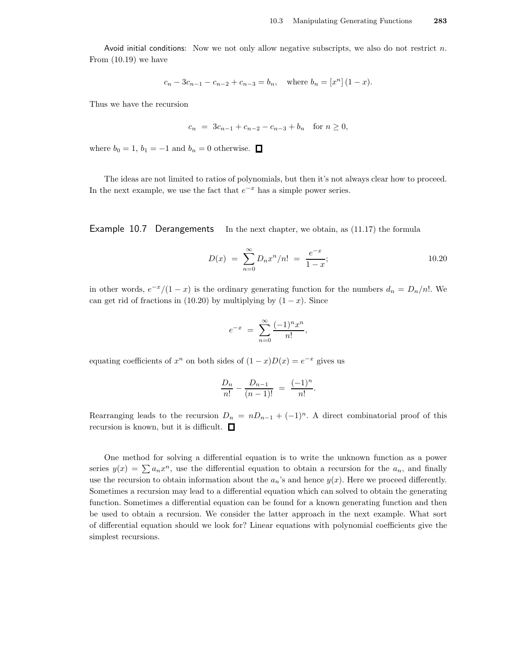Avoid initial conditions: Now we not only allow negative subscripts, we also do not restrict n. From (10.19) we have

$$
c_n - 3c_{n-1} - c_{n-2} + c_{n-3} = b_n
$$
, where  $b_n = [x^n](1-x)$ .

Thus we have the recursion

$$
c_n = 3c_{n-1} + c_{n-2} - c_{n-3} + b_n \text{ for } n \ge 0,
$$

where  $b_0 = 1$ ,  $b_1 = -1$  and  $b_n = 0$  otherwise.  $\Box$ 

The ideas are not limited to ratios of polynomials, but then it's not always clear how to proceed. In the next example, we use the fact that  $e^{-x}$  has a simple power series.

Example 10.7 Derangements In the next chapter, we obtain, as (11.17) the formula

$$
D(x) = \sum_{n=0}^{\infty} D_n x^n / n! = \frac{e^{-x}}{1-x};
$$
 10.20

in other words,  $e^{-x}/(1-x)$  is the ordinary generating function for the numbers  $d_n = D_n/n!$ . We can get rid of fractions in (10.20) by multiplying by  $(1-x)$ . Since

$$
e^{-x} = \sum_{n=0}^{\infty} \frac{(-1)^n x^n}{n!},
$$

equating coefficients of  $x^n$  on both sides of  $(1-x)D(x) = e^{-x}$  gives us

$$
\frac{D_n}{n!} - \frac{D_{n-1}}{(n-1)!} = \frac{(-1)^n}{n!}.
$$

Rearranging leads to the recursion  $D_n = nD_{n-1} + (-1)^n$ . A direct combinatorial proof of this recursion is known, but it is difficult.  $\Box$ 

One method for solving a differential equation is to write the unknown function as a power series  $y(x) = \sum a_n x^n$ , use the differential equation to obtain a recursion for the  $a_n$ , and finally use the recursion to obtain information about the  $a_n$ 's and hence  $y(x)$ . Here we proceed differently. Sometimes a recursion may lead to a differential equation which can solved to obtain the generating function. Sometimes a differential equation can be found for a known generating function and then be used to obtain a recursion. We consider the latter approach in the next example. What sort of differential equation should we look for? Linear equations with polynomial coefficients give the simplest recursions.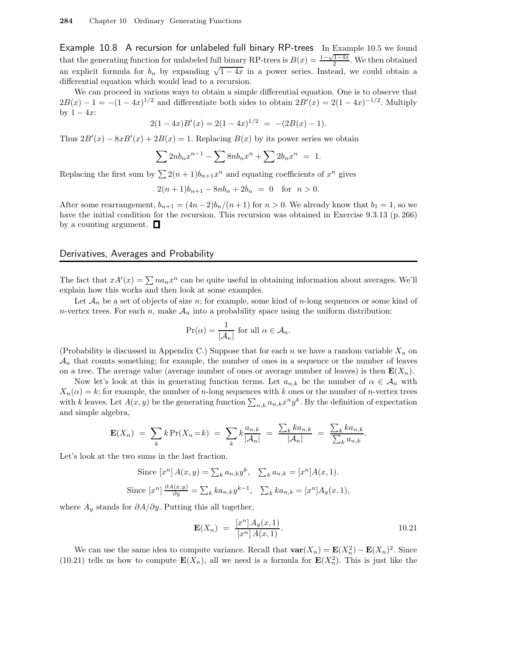Example 10.8 A recursion for unlabeled full binary RP-trees In Example 10.5 we found that the generating function for unlabeled full binary RP-trees is  $B(x) = \frac{1-\sqrt{1-4x}}{2}$ . We then obtained an explicit formula for  $b_n$  by expanding  $\sqrt{1-4x}$  in a power series. Instead, we could obtain a differential equation which would lead to a recursion.

We can proceed in various ways to obtain a simple differential equation. One is to observe that  $2B(x) - 1 = -(1 - 4x)^{1/2}$  and differentiate both sides to obtain  $2B'(x) = 2(1 - 4x)^{-1/2}$ . Multiply by  $1 - 4x$ :

$$
2(1-4x)B'(x) = 2(1-4x)^{1/2} = -(2B(x)-1).
$$

Thus  $2B'(x) - 8xB'(x) + 2B(x) = 1$ . Replacing  $B(x)$  by its power series we obtain

$$
\sum 2n b_n x^{n-1} - \sum 8n b_n x^n + \sum 2b_n x^n = 1.
$$

Replacing the first sum by  $\sum 2(n+1)b_{n+1}x^n$  and equating coefficients of  $x^n$  gives

$$
2(n+1)b_{n+1} - 8nb_n + 2b_n = 0 \text{ for } n > 0.
$$

After some rearrangement,  $b_{n+1} = (4n-2)b_n/(n+1)$  for  $n > 0$ . We already know that  $b_1 = 1$ , so we have the initial condition for the recursion. This recursion was obtained in Exercise 9.3.13 (p. 266) by a counting argument.  $\Box$ 

#### Derivatives, Averages and Probability

The fact that  $xA'(x) = \sum na_n x^n$  can be quite useful in obtaining information about averages. We'll explain how this works and then look at some examples.

Let  $\mathcal{A}_n$  be a set of objects of size n; for example, some kind of n-long sequences or some kind of n-vertex trees. For each n, make  $A_n$  into a probability space using the uniform distribution:

$$
\Pr(\alpha) = \frac{1}{|\mathcal{A}_n|} \text{ for all } \alpha \in \mathcal{A}_n.
$$

(Probability is discussed in Appendix C.) Suppose that for each n we have a random variable  $X_n$  on  $\mathcal{A}_n$  that counts something; for example, the number of ones in a sequence or the number of leaves on a tree. The average value (average number of ones or average number of leaves) is then  $\mathbf{E}(X_n)$ .

Now let's look at this in generating function terms. Let  $a_{n,k}$  be the number of  $\alpha \in A_n$  with  $X_n(\alpha) = k$ ; for example, the number of n-long sequences with k ones or the number of n-vertex trees with k leaves. Let  $A(x, y)$  be the generating function  $\sum_{n,k} a_{n,k} x^n y^k$ . By the definition of expectation and simple algebra,

$$
\mathbf{E}(X_n) = \sum_{k} k \Pr(X_n = k) = \sum_{k} k \frac{a_{n,k}}{|\mathcal{A}_n|} = \frac{\sum_{k} ka_{n,k}}{|\mathcal{A}_n|} = \frac{\sum_{k} ka_{n,k}}{\sum_{k} a_{n,k}}.
$$

Let's look at the two sums in the last fraction.

Since 
$$
[x^n] A(x, y) = \sum_k a_{n,k} y^k
$$
,  $\sum_k a_{n,k} = [x^n] A(x, 1)$ .  
Since  $[x^n] \frac{\partial A(x, y)}{\partial y} = \sum_k k a_{n,k} y^{k-1}$ ,  $\sum_k k a_{n,k} = [x^n] A_y(x, 1)$ ,

where  $A_y$  stands for  $\partial A/\partial y$ . Putting this all together,

$$
\mathbf{E}(X_n) = \frac{[x^n] A_y(x, 1)}{[x^n] A(x, 1)}.
$$
 10.21

We can use the same idea to compute variance. Recall that  $\text{var}(X_n) = \mathbf{E}(X_n^2) - \mathbf{E}(X_n)^2$ . Since (10.21) tells us how to compute  $\mathbf{E}(X_n)$ , all we need is a formula for  $\mathbf{E}(X_n^2)$ . This is just like the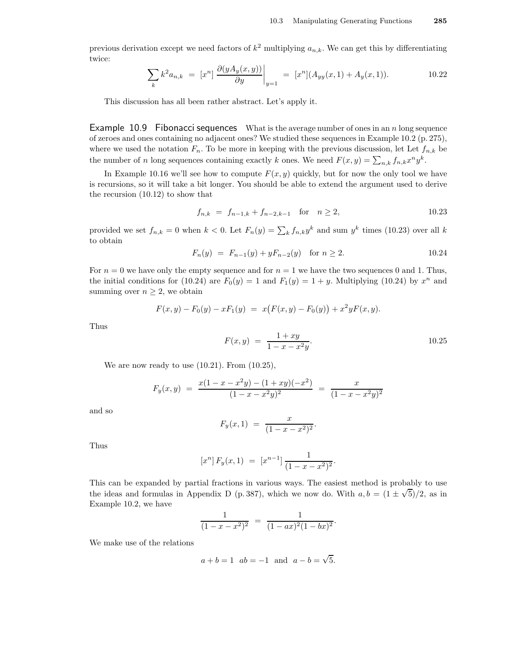previous derivation except we need factors of  $k^2$  multiplying  $a_{n,k}$ . We can get this by differentiating twice:

$$
\sum_{k} k^{2} a_{n,k} = [x^{n}] \frac{\partial (y A_{y}(x, y))}{\partial y} \bigg|_{y=1} = [x^{n}] (A_{yy}(x, 1) + A_{y}(x, 1)). \tag{10.22}
$$

This discussion has all been rather abstract. Let's apply it.

**Example 10.9 Fibonacci sequences** What is the average number of ones in an n long sequence of zeroes and ones containing no adjacent ones? We studied these sequences in Example 10.2 (p. 275), where we used the notation  $F_n$ . To be more in keeping with the previous discussion, let Let  $f_{n,k}$  be the number of n long sequences containing exactly k ones. We need  $F(x, y) = \sum_{n,k} f_{n,k} x^n y^k$ .

In Example 10.16 we'll see how to compute  $F(x, y)$  quickly, but for now the only tool we have is recursions, so it will take a bit longer. You should be able to extend the argument used to derive the recursion (10.12) to show that

$$
f_{n,k} = f_{n-1,k} + f_{n-2,k-1} \quad \text{for} \quad n \ge 2, \tag{10.23}
$$

provided we set  $f_{n,k} = 0$  when  $k < 0$ . Let  $F_n(y) = \sum_k f_{n,k} y^k$  and sum  $y^k$  times (10.23) over all k to obtain

$$
F_n(y) = F_{n-1}(y) + yF_{n-2}(y) \quad \text{for } n \ge 2.
$$
 10.24

For  $n = 0$  we have only the empty sequence and for  $n = 1$  we have the two sequences 0 and 1. Thus, the initial conditions for (10.24) are  $F_0(y) = 1$  and  $F_1(y) = 1 + y$ . Multiplying (10.24) by  $x^n$  and summing over  $n \geq 2$ , we obtain

$$
F(x, y) - F_0(y) - xF_1(y) = x(F(x, y) - F_0(y)) + x^2yF(x, y).
$$
  

$$
1 + xy
$$

Thus

 $F(x, y) = \frac{1 + xy}{1}$  $1 - x - x^2y$ . 10.25

We are now ready to use  $(10.21)$ . From  $(10.25)$ ,

$$
F_y(x,y) = \frac{x(1-x-x^2y) - (1+xy)(-x^2)}{(1-x-x^2y)^2} = \frac{x}{(1-x-x^2y)^2}
$$

and so

$$
F_y(x,1) = \frac{x}{(1-x-x^2)^2}.
$$

Thus

$$
[x^n] F_y(x, 1) = [x^{n-1}] \frac{1}{(1 - x - x^2)^2}.
$$

This can be expanded by partial fractions in various ways. The easiest method is probably to use the ideas and formulas in Appendix D (p. 387), which we now do. With  $a, b = (1 \pm \sqrt{5})/2$ , as in Example 10.2, we have

$$
\frac{1}{(1-x-x^2)^2} = \frac{1}{(1-ax)^2(1-bx)^2}.
$$

We make use of the relations

$$
a + b = 1
$$
  $ab = -1$  and  $a - b = \sqrt{5}$ .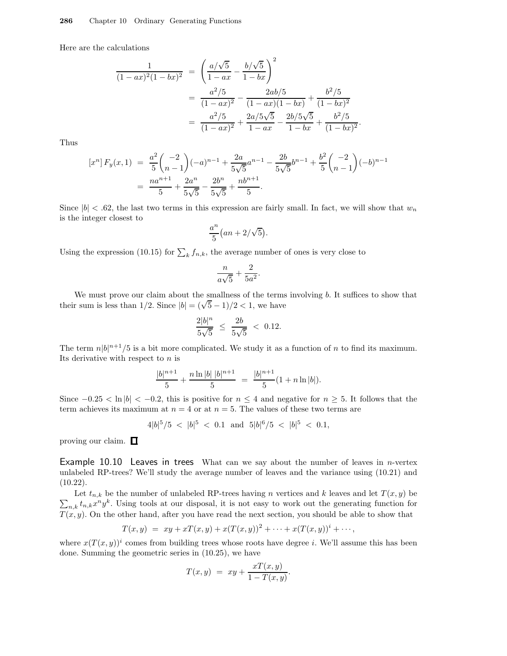Here are the calculations

$$
\frac{1}{(1 - ax)^2 (1 - bx)^2} = \left(\frac{a/\sqrt{5}}{1 - ax} - \frac{b/\sqrt{5}}{1 - bx}\right)^2
$$

$$
= \frac{a^2/5}{(1 - ax)^2} - \frac{2ab/5}{(1 - ax)(1 - bx)} + \frac{b^2/5}{(1 - bx)^2}
$$

$$
= \frac{a^2/5}{(1 - ax)^2} + \frac{2a/5\sqrt{5}}{1 - ax} - \frac{2b/5\sqrt{5}}{1 - bx} + \frac{b^2/5}{(1 - bx)^2}.
$$

Thus

$$
[x^n] F_y(x,1) = \frac{a^2}{5} { -2 \choose n-1} (-a)^{n-1} + \frac{2a}{5\sqrt{5}} a^{n-1} - \frac{2b}{5\sqrt{5}} b^{n-1} + \frac{b^2}{5} { -2 \choose n-1} (-b)^{n-1}
$$
  
= 
$$
\frac{na^{n+1}}{5} + \frac{2a^n}{5\sqrt{5}} - \frac{2b^n}{5\sqrt{5}} + \frac{nb^{n+1}}{5}.
$$

Since  $|b| < .62$ , the last two terms in this expression are fairly small. In fact, we will show that  $w_n$ is the integer closest to

$$
\frac{a^n}{5}(an+2/\sqrt{5}).
$$

Using the expression (10.15) for  $\sum_{k} f_{n,k}$ , the average number of ones is very close to

$$
\frac{n}{a\sqrt{5}} + \frac{2}{5a^2}.
$$

We must prove our claim about the smallness of the terms involving  $b$ . It suffices to show that their sum is less than  $1/2$ . Since  $|b| = (\sqrt{5}-1)/2 < 1$ , we have

$$
\frac{2|b|^n}{5\sqrt{5}} \ \leq \ \frac{2b}{5\sqrt{5}} \ < \ 0.12.
$$

The term  $n|b|^{n+1}/5$  is a bit more complicated. We study it as a function of n to find its maximum. Its derivative with respect to  $n$  is

$$
\frac{|b|^{n+1}}{5} + \frac{n \ln |b| |b|^{n+1}}{5} = \frac{|b|^{n+1}}{5} (1 + n \ln |b|).
$$

Since  $-0.25 < \ln |b| < -0.2$ , this is positive for  $n \le 4$  and negative for  $n \ge 5$ . It follows that the term achieves its maximum at  $n = 4$  or at  $n = 5$ . The values of these two terms are

$$
4|b|^5/5 \, < \, |b|^5 \, < \, 0.1 \, \text{ and } \, 5|b|^6/5 \, < \, |b|^5 \, < \, 0.1,
$$

proving our claim.  $\Box$ 

Example 10.10 Leaves in trees What can we say about the number of leaves in  $n$ -vertex unlabeled RP-trees? We'll study the average number of leaves and the variance using (10.21) and  $(10.22)$ .

 $\sum_{n,k} t_{n,k} x^n y^k$ . Using tools at our disposal, it is not easy to work out the generating function for Let  $t_{n,k}$  be the number of unlabeled RP-trees having n vertices and k leaves and let  $T(x, y)$  be  $T(x, y)$ . On the other hand, after you have read the next section, you should be able to show that

$$
T(x,y) = xy + xT(x,y) + x(T(x,y))^{2} + \cdots + x(T(x,y))^{i} + \cdots,
$$

where  $x(T(x, y))^i$  comes from building trees whose roots have degree *i*. We'll assume this has been done. Summing the geometric series in (10.25), we have

$$
T(x,y) = xy + \frac{xT(x,y)}{1 - T(x,y)}.
$$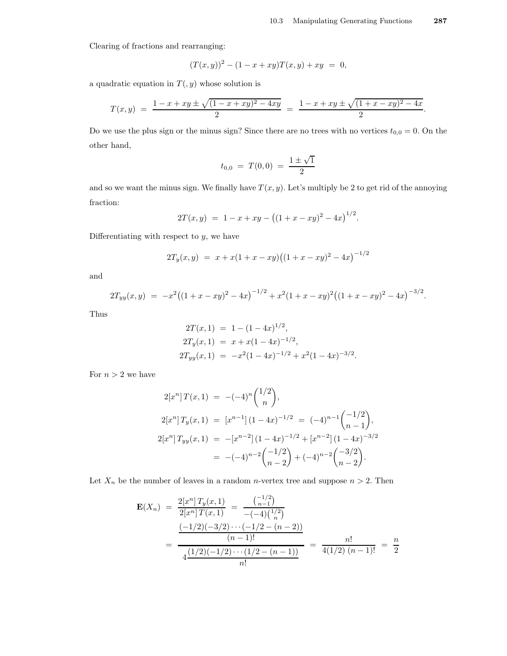Clearing of fractions and rearranging:

$$
(T(x,y))^{2} - (1 - x + xy)T(x,y) + xy = 0,
$$

a quadratic equation in  $T($ ,  $y)$  whose solution is

$$
T(x,y) = \frac{1-x+xy \pm \sqrt{(1-x+xy)^2-4xy}}{2} = \frac{1-x+xy \pm \sqrt{(1+x-xy)^2-4x}}{2}.
$$

Do we use the plus sign or the minus sign? Since there are no trees with no vertices  $t_{0,0} = 0$ . On the other hand,

$$
t_{0,0} = T(0,0) = \frac{1 \pm \sqrt{1}}{2}
$$

and so we want the minus sign. We finally have  $T(x, y)$ . Let's multiply be 2 to get rid of the annoying fraction:

$$
2T(x,y) = 1 - x + xy - ((1 + x - xy)^{2} - 4x)^{1/2}.
$$

Differentiating with respect to  $y$ , we have

$$
2T_y(x,y) = x + x(1 + x - xy)((1 + x - xy)^2 - 4x)^{-1/2}
$$

and

$$
2T_{yy}(x,y) = -x^2((1+x-xy)^2-4x)^{-1/2} + x^2(1+x-xy)^2((1+x-xy)^2-4x)^{-3/2}.
$$

Thus

$$
2T(x, 1) = 1 - (1 - 4x)^{1/2},
$$
  
\n
$$
2T_y(x, 1) = x + x(1 - 4x)^{-1/2},
$$
  
\n
$$
2T_{yy}(x, 1) = -x^2(1 - 4x)^{-1/2} + x^2(1 - 4x)^{-3/2}.
$$

For  $n > 2$  we have

$$
2[x^n] T(x, 1) = -(-4)^n {1/2 \choose n},
$$
  
\n
$$
2[x^n] T_y(x, 1) = [x^{n-1}] (1 - 4x)^{-1/2} = (-4)^{n-1} {1/2 \choose n-1},
$$
  
\n
$$
2[x^n] T_{yy}(x, 1) = -[x^{n-2}] (1 - 4x)^{-1/2} + [x^{n-2}] (1 - 4x)^{-3/2}
$$
  
\n
$$
= -(-4)^{n-2} {1/2 \choose n-2} + (-4)^{n-2} {3/2 \choose n-2}.
$$

Let  $X_n$  be the number of leaves in a random *n*-vertex tree and suppose  $n > 2$ . Then

$$
\mathbf{E}(X_n) = \frac{2[x^n] T_y(x, 1)}{2[x^n] T(x, 1)} = \frac{\binom{-1/2}{n-1}}{-(-4)\binom{1/2}{n}}
$$

$$
= \frac{\frac{(-1/2)(-3/2)\cdots(-1/2 - (n-2))}{(n-1)!}}{\frac{(1/2)(-1/2)\cdots(1/2 - (n-1))}{n!}} = \frac{n!}{4(1/2)(n-1)!} = \frac{n}{2}
$$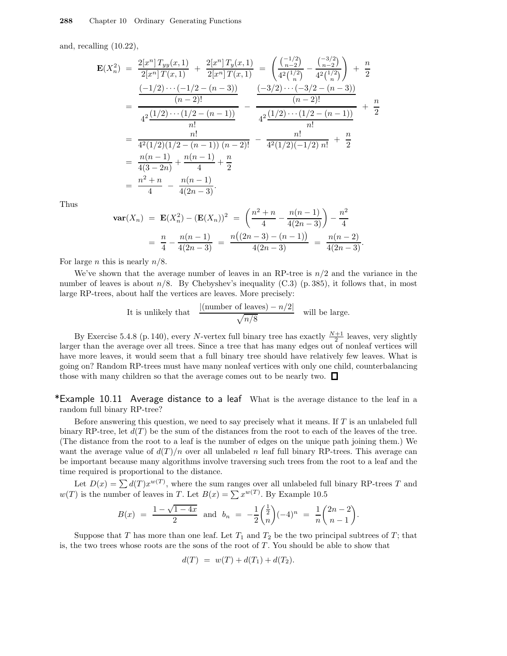and, recalling (10.22),

$$
\mathbf{E}(X_n^2) = \frac{2[x^n]T_{yy}(x,1)}{2[x^n]T(x,1)} + \frac{2[x^n]T_y(x,1)}{2[x^n]T(x,1)} = \left(\frac{\binom{-1/2}{n-2}}{4^2\binom{1/2}{n}} - \frac{\binom{-3/2}{n-2}}{4^2\binom{1/2}{n}}\right) + \frac{n}{2}
$$

$$
= \frac{\frac{(-1/2)\cdots(-1/2 - (n-3))}{(n-2)!}}{4^2\frac{(1/2)\cdots(1/2 - (n-1))}{n!}} - \frac{\frac{(-3/2)\cdots(-3/2 - (n-3))}{(n-2)!}}{4^2\frac{(1/2)\cdots(1/2 - (n-1))}{n!}} + \frac{n}{2}
$$

$$
= \frac{n!}{4^2(1/2)(1/2 - (n-1)) (n-2)!} - \frac{n!}{4^2(1/2)(-1/2) n!} + \frac{n}{2}
$$

$$
= \frac{n(n-1)}{4(3-2n)} + \frac{n(n-1)}{4} + \frac{n}{2}
$$

$$
= \frac{n^2 + n}{4} - \frac{n(n-1)}{4(2n-3)}.
$$

Thus

$$
\operatorname{var}(X_n) = \mathbf{E}(X_n^2) - (\mathbf{E}(X_n))^2 = \left(\frac{n^2 + n}{4} - \frac{n(n-1)}{4(2n-3)}\right) - \frac{n^2}{4}
$$

$$
= \frac{n}{4} - \frac{n(n-1)}{4(2n-3)} = \frac{n((2n-3) - (n-1))}{4(2n-3)} = \frac{n(n-2)}{4(2n-3)}.
$$

For large *n* this is nearly  $n/8$ .

We've shown that the average number of leaves in an RP-tree is  $n/2$  and the variance in the number of leaves is about  $n/8$ . By Chebyshev's inequality (C.3) (p. 385), it follows that, in most large RP-trees, about half the vertices are leaves. More precisely:

It is unlikely that 
$$
\frac{|(\text{number of leaves}) - n/2|}{\sqrt{n/8}}
$$
 will be large.

By Exercise 5.4.8 (p. 140), every N-vertex full binary tree has exactly  $\frac{N+1}{2}$  leaves, very slightly larger than the average over all trees. Since a tree that has many edges out of nonleaf vertices will have more leaves, it would seem that a full binary tree should have relatively few leaves. What is going on? Random RP-trees must have many nonleaf vertices with only one child, counterbalancing those with many children so that the average comes out to be nearly two.  $\Box$ 

\*Example 10.11 Average distance to a leaf What is the average distance to the leaf in a random full binary RP-tree?

Before answering this question, we need to say precisely what it means. If T is an unlabeled full binary RP-tree, let  $d(T)$  be the sum of the distances from the root to each of the leaves of the tree. (The distance from the root to a leaf is the number of edges on the unique path joining them.) We want the average value of  $d(T)/n$  over all unlabeled n leaf full binary RP-trees. This average can be important because many algorithms involve traversing such trees from the root to a leaf and the time required is proportional to the distance.

Let  $D(x) = \sum d(T) x^{w(T)}$ , where the sum ranges over all unlabeled full binary RP-trees T and  $w(T)$  is the number of leaves in T. Let  $B(x) = \sum x^{w(T)}$ . By Example 10.5

$$
B(x) = \frac{1 - \sqrt{1 - 4x}}{2} \text{ and } b_n = -\frac{1}{2} \binom{\frac{1}{2}}{n} (-4)^n = \frac{1}{n} \binom{2n - 2}{n - 1}.
$$

Suppose that T has more than one leaf. Let  $T_1$  and  $T_2$  be the two principal subtrees of T; that is, the two trees whose roots are the sons of the root of  $T$ . You should be able to show that

$$
d(T) = w(T) + d(T_1) + d(T_2).
$$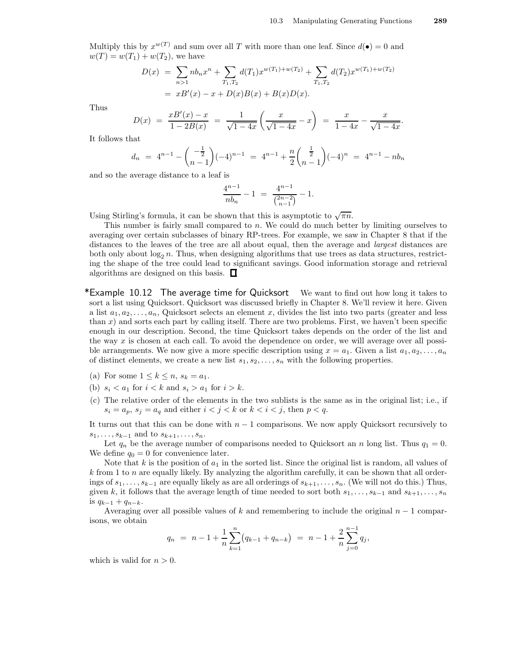Multiply this by  $x^{w(T)}$  and sum over all T with more than one leaf. Since  $d(\bullet) = 0$  and  $w(T) = w(T_1) + w(T_2)$ , we have

$$
D(x) = \sum_{n>1} nb_n x^n + \sum_{T_1, T_2} d(T_1) x^{w(T_1) + w(T_2)} + \sum_{T_1, T_2} d(T_2) x^{w(T_1) + w(T_2)}
$$
  
=  $xB'(x) - x + D(x)B(x) + B(x)D(x)$ .

Thus

$$
D(x) = \frac{xB'(x) - x}{1 - 2B(x)} = \frac{1}{\sqrt{1 - 4x}} \left( \frac{x}{\sqrt{1 - 4x}} - x \right) = \frac{x}{1 - 4x} - \frac{x}{\sqrt{1 - 4x}}.
$$

It follows that

$$
d_n = 4^{n-1} - \binom{-\frac{1}{2}}{n-1}(-4)^{n-1} = 4^{n-1} + \frac{n}{2}\binom{\frac{1}{2}}{n-1}(-4)^n = 4^{n-1} - nb_n
$$

and so the average distance to a leaf is

$$
\frac{4^{n-1}}{nb_n} - 1 = \frac{4^{n-1}}{\binom{2n-2}{n-1}} - 1.
$$

Using Stirling's formula, it can be shown that this is asymptotic to  $\sqrt{\pi n}$ .

This number is fairly small compared to n. We could do much better by limiting ourselves to averaging over certain subclasses of binary RP-trees. For example, we saw in Chapter 8 that if the distances to the leaves of the tree are all about equal, then the average and *largest* distances are both only about  $\log_2 n$ . Thus, when designing algorithms that use trees as data structures, restricting the shape of the tree could lead to significant savings. Good information storage and retrieval algorithms are designed on this basis.  $\Box$ 

\*Example 10.12 The average time for Quicksort We want to find out how long it takes to sort a list using Quicksort. Quicksort was discussed briefly in Chapter 8. We'll review it here. Given a list  $a_1, a_2, \ldots, a_n$ , Quicksort selects an element x, divides the list into two parts (greater and less than  $x$ ) and sorts each part by calling itself. There are two problems. First, we haven't been specific enough in our description. Second, the time Quicksort takes depends on the order of the list and the way  $x$  is chosen at each call. To avoid the dependence on order, we will average over all possible arrangements. We now give a more specific description using  $x = a_1$ . Given a list  $a_1, a_2, \ldots, a_n$ of distinct elements, we create a new list  $s_1, s_2, \ldots, s_n$  with the following properties.

- (a) For some  $1 \leq k \leq n$ ,  $s_k = a_1$ .
- (b)  $s_i < a_1$  for  $i < k$  and  $s_i > a_1$  for  $i > k$ .
- (c) The relative order of the elements in the two sublists is the same as in the original list; i.e., if  $s_i = a_p, s_j = a_q$  and either  $i < j < k$  or  $k < i < j$ , then  $p < q$ .

It turns out that this can be done with  $n-1$  comparisons. We now apply Quicksort recursively to  $s_1, \ldots, s_{k-1}$  and to  $s_{k+1}, \ldots, s_n$ .

Let  $q_n$  be the average number of comparisons needed to Quicksort an n long list. Thus  $q_1 = 0$ . We define  $q_0 = 0$  for convenience later.

Note that k is the position of  $a_1$  in the sorted list. Since the original list is random, all values of  $k$  from 1 to n are equally likely. By analyzing the algorithm carefully, it can be shown that all orderings of  $s_1, \ldots, s_{k-1}$  are equally likely as are all orderings of  $s_{k+1}, \ldots, s_n$ . (We will not do this.) Thus, given k, it follows that the average length of time needed to sort both  $s_1, \ldots, s_{k-1}$  and  $s_{k+1}, \ldots, s_n$ is  $q_{k-1} + q_{n-k}$ .

Averaging over all possible values of k and remembering to include the original  $n-1$  comparisons, we obtain

$$
q_n = n - 1 + \frac{1}{n} \sum_{k=1}^{n} (q_{k-1} + q_{n-k}) = n - 1 + \frac{2}{n} \sum_{j=0}^{n-1} q_j,
$$

which is valid for  $n > 0$ .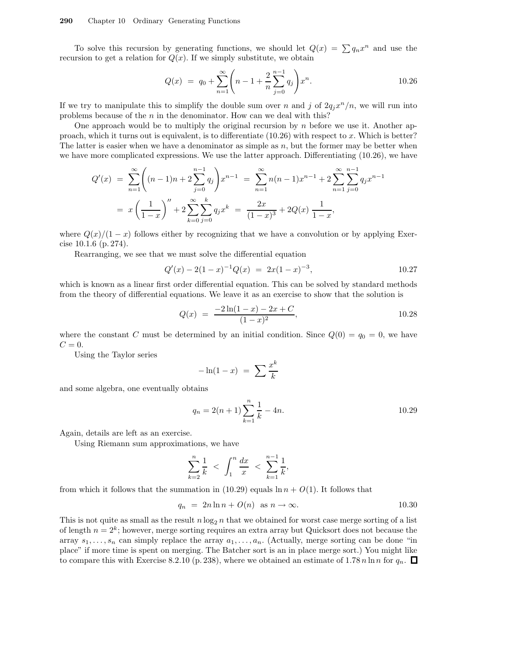#### 290 Chapter 10 Ordinary Generating Functions

To solve this recursion by generating functions, we should let  $Q(x) = \sum q_n x^n$  and use the recursion to get a relation for  $Q(x)$ . If we simply substitute, we obtain

$$
Q(x) = q_0 + \sum_{n=1}^{\infty} \left( n - 1 + \frac{2}{n} \sum_{j=0}^{n-1} q_j \right) x^n.
$$
 10.26

If we try to manipulate this to simplify the double sum over n and j of  $2q_jx^n/n$ , we will run into problems because of the  $n$  in the denominator. How can we deal with this?

One approach would be to multiply the original recursion by n before we use it. Another approach, which it turns out is equivalent, is to differentiate  $(10.26)$  with respect to x. Which is better? The latter is easier when we have a denominator as simple as  $n$ , but the former may be better when we have more complicated expressions. We use the latter approach. Differentiating (10.26), we have

$$
Q'(x) = \sum_{n=1}^{\infty} \left( (n-1)n + 2 \sum_{j=0}^{n-1} q_j \right) x^{n-1} = \sum_{n=1}^{\infty} n(n-1)x^{n-1} + 2 \sum_{n=1}^{\infty} \sum_{j=0}^{n-1} q_j x^{n-1}
$$
  
=  $x \left( \frac{1}{1-x} \right)^n + 2 \sum_{k=0}^{\infty} \sum_{j=0}^{k} q_j x^k = \frac{2x}{(1-x)^3} + 2Q(x) \frac{1}{1-x},$ 

where  $Q(x)/(1-x)$  follows either by recognizing that we have a convolution or by applying Exercise 10.1.6 (p. 274).

Rearranging, we see that we must solve the differential equation

$$
Q'(x) - 2(1-x)^{-1}Q(x) = 2x(1-x)^{-3},
$$
 10.27

which is known as a linear first order differential equation. This can be solved by standard methods from the theory of differential equations. We leave it as an exercise to show that the solution is

$$
Q(x) = \frac{-2\ln(1-x) - 2x + C}{(1-x)^2},
$$
 10.28

where the constant C must be determined by an initial condition. Since  $Q(0) = q_0 = 0$ , we have  $C=0.$ 

Using the Taylor series

$$
-\ln(1-x) = \sum \frac{x^k}{k}
$$

and some algebra, one eventually obtains

$$
q_n = 2(n+1)\sum_{k=1}^n \frac{1}{k} - 4n.
$$
 10.29

Again, details are left as an exercise.

Using Riemann sum approximations, we have

$$
\sum_{k=2}^{n} \frac{1}{k} < \int_{1}^{n} \frac{dx}{x} < \sum_{k=1}^{n-1} \frac{1}{k},
$$

from which it follows that the summation in (10.29) equals  $\ln n + O(1)$ . It follows that

$$
q_n = 2n \ln n + O(n) \text{ as } n \to \infty. \tag{10.30}
$$

This is not quite as small as the result  $n \log_2 n$  that we obtained for worst case merge sorting of a list of length  $n = 2<sup>k</sup>$ ; however, merge sorting requires an extra array but Quicksort does not because the array  $s_1, \ldots, s_n$  can simply replace the array  $a_1, \ldots, a_n$ . (Actually, merge sorting can be done "in place" if more time is spent on merging. The Batcher sort is an in place merge sort.) You might like to compare this with Exercise 8.2.10 (p. 238), where we obtained an estimate of 1.78 n ln n for  $q_n$ .  $\Box$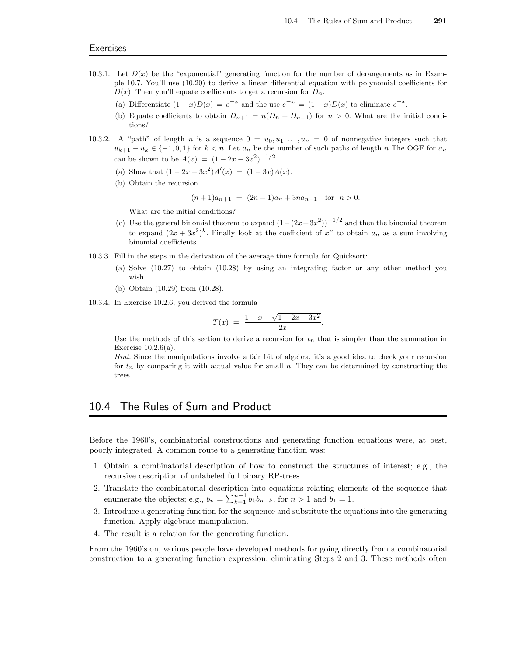- 10.3.1. Let  $D(x)$  be the "exponential" generating function for the number of derangements as in Example 10.7. You'll use (10.20) to derive a linear differential equation with polynomial coefficients for  $D(x)$ . Then you'll equate coefficients to get a recursion for  $D_n$ .
	- (a) Differentiate  $(1-x)D(x) = e^{-x}$  and the use  $e^{-x} = (1-x)D(x)$  to eliminate  $e^{-x}$ .
	- (b) Equate coefficients to obtain  $D_{n+1} = n(D_n + D_{n-1})$  for  $n > 0$ . What are the initial conditions?
- 10.3.2. A "path" of length n is a sequence  $0 = u_0, u_1, \ldots, u_n = 0$  of nonnegative integers such that  $u_{k+1} - u_k \in \{-1, 0, 1\}$  for  $k < n$ . Let  $a_n$  be the number of such paths of length n The OGF for  $a_n$ can be shown to be  $A(x) = (1 - 2x - 3x^2)^{-1/2}$ .
	- (a) Show that  $(1 2x 3x^2)A'(x) = (1 + 3x)A(x)$ .
	- (b) Obtain the recursion

$$
(n+1)a_{n+1} = (2n+1)a_n + 3na_{n-1} \text{ for } n > 0.
$$

What are the initial conditions?

- (c) Use the general binomial theorem to expand  $(1-(2x+3x^2))^{-1/2}$  and then the binomial theorem to expand  $(2x+3x^2)^k$ . Finally look at the coefficient of  $x^n$  to obtain  $a_n$  as a sum involving binomial coefficients.
- 10.3.3. Fill in the steps in the derivation of the average time formula for Quicksort:
	- (a) Solve (10.27) to obtain (10.28) by using an integrating factor or any other method you wish.
	- (b) Obtain (10.29) from (10.28).
- 10.3.4. In Exercise 10.2.6, you derived the formula

$$
T(x) = \frac{1 - x - \sqrt{1 - 2x - 3x^2}}{2x}.
$$

Use the methods of this section to derive a recursion for  $t_n$  that is simpler than the summation in Exercise 10.2.6(a).

Hint. Since the manipulations involve a fair bit of algebra, it's a good idea to check your recursion for  $t_n$  by comparing it with actual value for small n. They can be determined by constructing the trees.

# 10.4 The Rules of Sum and Product

Before the 1960's, combinatorial constructions and generating function equations were, at best, poorly integrated. A common route to a generating function was:

- 1. Obtain a combinatorial description of how to construct the structures of interest; e.g., the recursive description of unlabeled full binary RP-trees.
- 2. Translate the combinatorial description into equations relating elements of the sequence that enumerate the objects; e.g.,  $b_n = \sum_{k=1}^{n-1} b_k b_{n-k}$ , for  $n > 1$  and  $b_1 = 1$ .
- 3. Introduce a generating function for the sequence and substitute the equations into the generating function. Apply algebraic manipulation.
- 4. The result is a relation for the generating function.

From the 1960's on, various people have developed methods for going directly from a combinatorial construction to a generating function expression, eliminating Steps 2 and 3. These methods often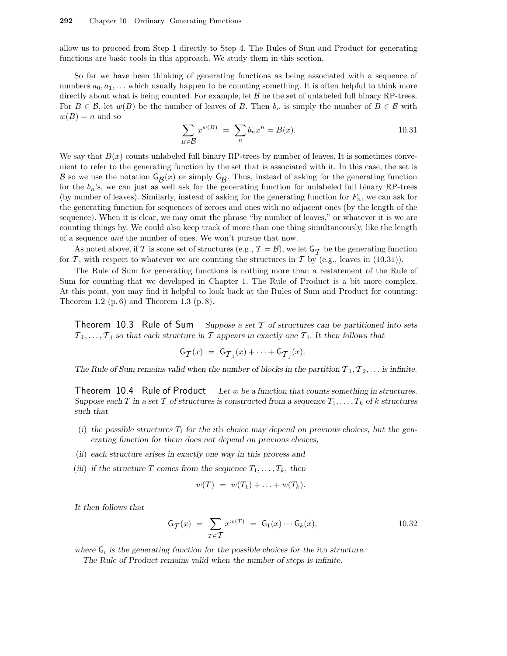allow us to proceed from Step 1 directly to Step 4. The Rules of Sum and Product for generating functions are basic tools in this approach. We study them in this section.

So far we have been thinking of generating functions as being associated with a sequence of numbers  $a_0, a_1, \ldots$  which usually happen to be counting something. It is often helpful to think more directly about what is being counted. For example, let  $\beta$  be the set of unlabeled full binary RP-trees. For  $B \in \mathcal{B}$ , let  $w(B)$  be the number of leaves of B. Then  $b_n$  is simply the number of  $B \in \mathcal{B}$  with  $w(B) = n$  and so

$$
\sum_{B \in \mathcal{B}} x^{w(B)} = \sum_{n} b_n x^n = B(x). \tag{10.31}
$$

We say that  $B(x)$  counts unlabeled full binary RP-trees by number of leaves. It is sometimes convenient to refer to the generating function by the set that is associated with it. In this case, the set is  $\mathcal{B}$  so we use the notation  $\mathsf{G}_{\mathcal{B}}(x)$  or simply  $\mathsf{G}_{\mathcal{B}}$ . Thus, instead of asking for the generating function<br>for the h is we see just as well self for the generating function for unlabeled full binary P for the  $b_n$ 's, we can just as well ask for the generating function for unlabeled full binary RP-trees (by number of leaves). Similarly, instead of asking for the generating function for  $F_n$ , we can ask for the generating function for sequences of zeroes and ones with no adjacent ones (by the length of the sequence). When it is clear, we may omit the phrase "by number of leaves," or whatever it is we are counting things by. We could also keep track of more than one thing simultaneously, like the length of a sequence and the number of ones. We won't pursue that now.

As noted above, if T is some set of structures (e.g.,  $\mathcal{T} = \mathcal{B}$ ), we let  $G_{\mathcal{T}}$  be the generating function  $\mathcal{T}$ , with generating function  $\mathcal{T}$ for  $\mathcal T$ , with respect to whatever we are counting the structures in  $\mathcal T$  by (e.g., leaves in (10.31)).

The Rule of Sum for generating functions is nothing more than a restatement of the Rule of Sum for counting that we developed in Chapter 1. The Rule of Product is a bit more complex. At this point, you may find it helpful to look back at the Rules of Sum and Product for counting: Theorem 1.2  $(p. 6)$  and Theorem 1.3  $(p. 8)$ .

Theorem 10.3 Rule of Sum Suppose a set T of structures can be partitioned into sets  $\mathcal{T}_1, \ldots, \mathcal{T}_j$  so that each structure in  $\mathcal T$  appears in exactly one  $\mathcal T_i$ . It then follows that

$$
\mathsf{G}_{\mathcal{T}}(x) = \mathsf{G}_{\mathcal{T}_1}(x) + \cdots + \mathsf{G}_{\mathcal{T}_j}(x).
$$

The Rule of Sum remains valid when the number of blocks in the partition  $\mathcal{T}_1, \mathcal{T}_2, \ldots$  is infinite.

Theorem 10.4 Rule of Product Let w be a function that counts something in structures. Suppose each T in a set T of structures is constructed from a sequence  $T_1, \ldots, T_k$  of k structures such that

- (i) the possible structures  $T_i$  for the ith choice may depend on previous choices, but the generating function for them does not depend on previous choices,
- (ii) each structure arises in exactly one way in this process and
- (iii) if the structure T comes from the sequence  $T_1, \ldots, T_k$ , then

$$
w(T) = w(T_1) + \ldots + w(T_k).
$$

It then follows that

$$
\mathsf{G}_{\mathcal{T}}(x) = \sum_{T \in \mathcal{T}} x^{w(T)} = \mathsf{G}_1(x) \cdots \mathsf{G}_k(x), \qquad 10.32
$$

where  $G_i$  is the generating function for the possible choices for the ith structure.

The Rule of Product remains valid when the number of steps is infinite.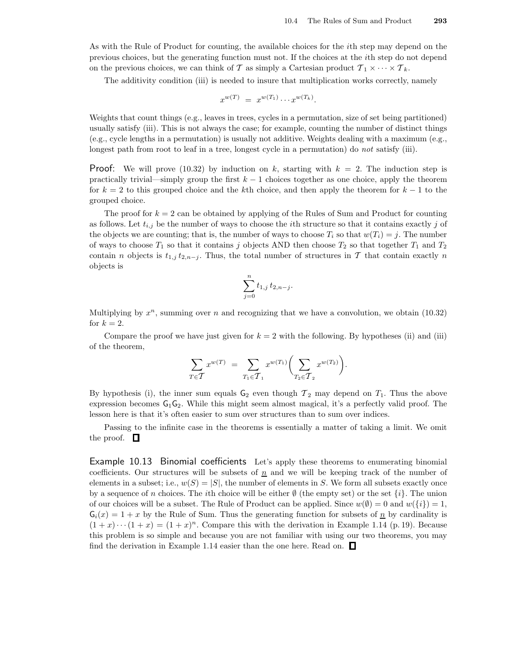As with the Rule of Product for counting, the available choices for the ith step may depend on the previous choices, but the generating function must not. If the choices at the ith step do not depend on the previous choices, we can think of T as simply a Cartesian product  $\mathcal{T}_1 \times \cdots \times \mathcal{T}_k$ .

The additivity condition (iii) is needed to insure that multiplication works correctly, namely

$$
x^{w(T)} = x^{w(T_1)} \cdots x^{w(T_k)}.
$$

Weights that count things (e.g., leaves in trees, cycles in a permutation, size of set being partitioned) usually satisfy (iii). This is not always the case; for example, counting the number of distinct things (e.g., cycle lengths in a permutation) is usually not additive. Weights dealing with a maximum (e.g., longest path from root to leaf in a tree, longest cycle in a permutation) do not satisfy (iii).

**Proof:** We will prove (10.32) by induction on k, starting with  $k = 2$ . The induction step is practically trivial—simply group the first  $k - 1$  choices together as one choice, apply the theorem for  $k = 2$  to this grouped choice and the kth choice, and then apply the theorem for  $k - 1$  to the grouped choice.

The proof for  $k = 2$  can be obtained by applying of the Rules of Sum and Product for counting as follows. Let  $t_{i,j}$  be the number of ways to choose the *i*th structure so that it contains exactly j of the objects we are counting; that is, the number of ways to choose  $T_i$  so that  $w(T_i) = j$ . The number of ways to choose  $T_1$  so that it contains j objects AND then choose  $T_2$  so that together  $T_1$  and  $T_2$ contain n objects is  $t_{1,j} t_{2,n-j}$ . Thus, the total number of structures in T that contain exactly n objects is

$$
\sum_{j=0}^n t_{1,j} \, t_{2,n-j}.
$$

Multiplying by  $x^n$ , summing over n and recognizing that we have a convolution, we obtain  $(10.32)$ for  $k = 2$ .

Compare the proof we have just given for  $k = 2$  with the following. By hypotheses (ii) and (iii) of the theorem,

$$
\sum_{T \in \mathcal{T}} x^{w(T)} = \sum_{T_1 \in \mathcal{T}_1} x^{w(T_1)} \bigg( \sum_{T_2 \in \mathcal{T}_2} x^{w(T_2)} \bigg).
$$

By hypothesis (i), the inner sum equals  $G_2$  even though  $T_2$  may depend on  $T_1$ . Thus the above expression becomes  $G_1G_2$ . While this might seem almost magical, it's a perfectly valid proof. The lesson here is that it's often easier to sum over structures than to sum over indices.

Passing to the infinite case in the theorems is essentially a matter of taking a limit. We omit the proof.  $\Box$ 

Example 10.13 Binomial coefficients Let's apply these theorems to enumerating binomial coefficients. Our structures will be subsets of  $\underline{n}$  and we will be keeping track of the number of elements in a subset; i.e.,  $w(S) = |S|$ , the number of elements in S. We form all subsets exactly once by a sequence of n choices. The *i*th choice will be either  $\emptyset$  (the empty set) or the set  $\{i\}$ . The union of our choices will be a subset. The Rule of Product can be applied. Since  $w(\emptyset) = 0$  and  $w(\{i\}) = 1$ ,  $G_i(x) = 1 + x$  by the Rule of Sum. Thus the generating function for subsets of  $\underline{n}$  by cardinality is  $(1+x)\cdots(1+x)=(1+x)^n$ . Compare this with the derivation in Example 1.14 (p. 19). Because this problem is so simple and because you are not familiar with using our two theorems, you may find the derivation in Example 1.14 easier than the one here. Read on.  $\Box$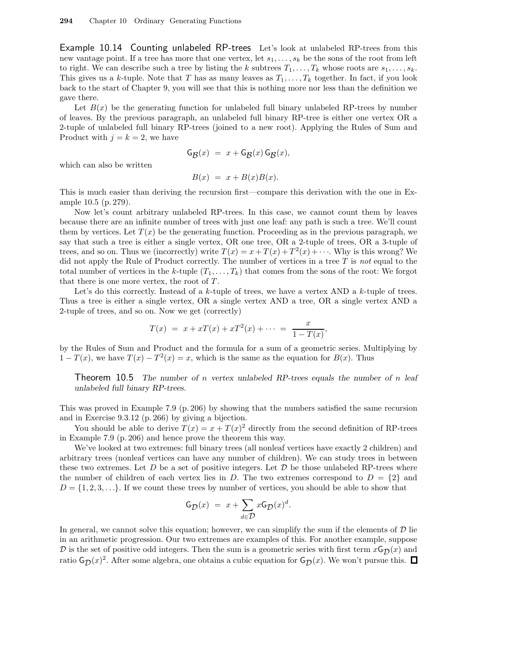Example 10.14 Counting unlabeled RP-trees Let's look at unlabeled RP-trees from this new vantage point. If a tree has more that one vertex, let  $s_1, \ldots, s_k$  be the sons of the root from left to right. We can describe such a tree by listing the k subtrees  $T_1, \ldots, T_k$  whose roots are  $s_1, \ldots, s_k$ . This gives us a k-tuple. Note that T has as many leaves as  $T_1, \ldots, T_k$  together. In fact, if you look back to the start of Chapter 9, you will see that this is nothing more nor less than the definition we gave there.

Let  $B(x)$  be the generating function for unlabeled full binary unlabeled RP-trees by number of leaves. By the previous paragraph, an unlabeled full binary RP-tree is either one vertex OR a 2-tuple of unlabeled full binary RP-trees (joined to a new root). Applying the Rules of Sum and Product with  $j = k = 2$ , we have

$$
\mathsf{G}_{\mathcal{B}}(x) = x + \mathsf{G}_{\mathcal{B}}(x)\,\mathsf{G}_{\mathcal{B}}(x),
$$

which can also be written

$$
B(x) = x + B(x)B(x).
$$

This is much easier than deriving the recursion first—compare this derivation with the one in Example 10.5 (p. 279).

Now let's count arbitrary unlabeled RP-trees. In this case, we cannot count them by leaves because there are an infinite number of trees with just one leaf: any path is such a tree. We'll count them by vertices. Let  $T(x)$  be the generating function. Proceeding as in the previous paragraph, we say that such a tree is either a single vertex, OR one tree, OR a 2-tuple of trees, OR a 3-tuple of trees, and so on. Thus we (incorrectly) write  $T(x) = x + T(x) + T^2(x) + \cdots$ . Why is this wrong? We did not apply the Rule of Product correctly. The number of vertices in a tree  $T$  is not equal to the total number of vertices in the k-tuple  $(T_1, \ldots, T_k)$  that comes from the sons of the root: We forgot that there is one more vertex, the root of  $T$ .

Let's do this correctly. Instead of a  $k$ -tuple of trees, we have a vertex AND a  $k$ -tuple of trees. Thus a tree is either a single vertex, OR a single vertex AND a tree, OR a single vertex AND a 2-tuple of trees, and so on. Now we get (correctly)

$$
T(x) = x + xT(x) + xT^{2}(x) + \cdots = \frac{x}{1 - T(x)},
$$

by the Rules of Sum and Product and the formula for a sum of a geometric series. Multiplying by  $1 - T(x)$ , we have  $T(x) - T^2(x) = x$ , which is the same as the equation for  $B(x)$ . Thus

**Theorem 10.5** The number of n vertex unlabeled RP-trees equals the number of n leaf unlabeled full binary RP-trees.

This was proved in Example 7.9 (p. 206) by showing that the numbers satisfied the same recursion and in Exercise 9.3.12 (p. 266) by giving a bijection.

You should be able to derive  $T(x) = x + T(x)^2$  directly from the second definition of RP-trees in Example 7.9 (p. 206) and hence prove the theorem this way.

We've looked at two extremes: full binary trees (all nonleaf vertices have exactly 2 children) and arbitrary trees (nonleaf vertices can have any number of children). We can study trees in between these two extremes. Let  $D$  be a set of positive integers. Let  $D$  be those unlabeled RP-trees where the number of children of each vertex lies in D. The two extremes correspond to  $D = \{2\}$  and  $D = \{1, 2, 3, \ldots\}$ . If we count these trees by number of vertices, you should be able to show that

$$
G_{\mathcal{D}}(x) = x + \sum_{d \in \mathcal{D}} x G_{\mathcal{D}}(x)^d.
$$

In general, we cannot solve this equation; however, we can simplify the sum if the elements of  $D$  lie in an arithmetic progression. Our two extremes are examples of this. For another example, suppose D is the set of positive odd integers. Then the sum is a geometric series with first term  $x\mathsf{G}_{\mathcal{D}}(x)$  and ratio  $G_{\mathcal{D}}(x)^2$ . After some algebra, one obtains a cubic equation for  $G_{\mathcal{D}}(x)$ . We won't pursue this.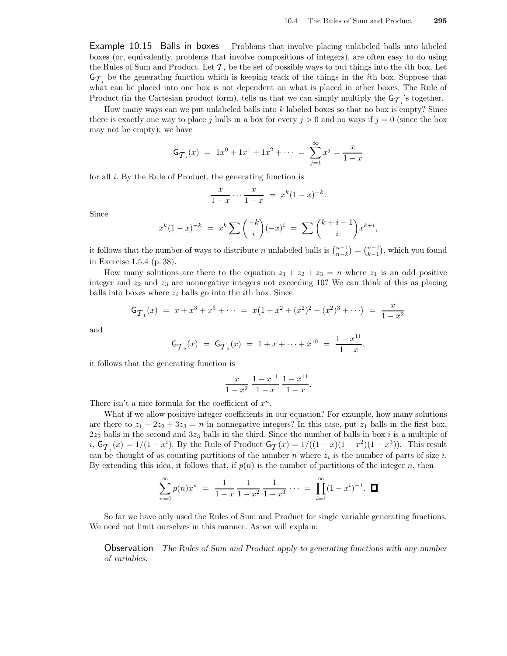Example 10.15 Balls in boxes Problems that involve placing unlabeled balls into labeled boxes (or, equivalently, problems that involve compositions of integers), are often easy to do using the Rules of Sum and Product. Let  $\mathcal{T}_i$  be the set of possible ways to put things into the *i*th box. Let  $\mathsf{G}_{\mathcal{T}_i}$  be the generating function which is keeping track of the things in the *i*th box. Suppose that what can be placed into one box is not dependent on what is placed in other boxes. The Rule of Product (in the Cartesian product form), tells us that we can simply multiply the  $\mathsf{G}_{\mathcal{T}_i}$ 's together.

How many ways can we put unlabeled balls into  $k$  labeled boxes so that no box is empty? Since there is exactly one way to place j balls in a box for every  $j > 0$  and no ways if  $j = 0$  (since the box may not be empty), we have

$$
G_{\mathcal{T}_i}(x) = 1x^0 + 1x^1 + 1x^2 + \dots = \sum_{j=1}^{\infty} x^j = \frac{x}{1-x}
$$

for all  $i$ . By the Rule of Product, the generating function is

$$
\frac{x}{1-x} \cdots \frac{x}{1-x} = x^k (1-x)^{-k}.
$$

Since

$$
x^{k}(1-x)^{-k} = x^{k} \sum {k \choose i} (-x)^{i} = \sum {k+i-1 \choose i} x^{k+i},
$$

it follows that the number of ways to distribute *n* unlabeled balls is  $\binom{n-1}{n-k} = \binom{n-1}{k-1}$ , which you found in Exercise 1.5.4 (p. 38).

How many solutions are there to the equation  $z_1 + z_2 + z_3 = n$  where  $z_1$  is an odd positive integer and  $z_2$  and  $z_3$  are nonnegative integers not exceeding 10? We can think of this as placing balls into boxes where  $z_i$  balls go into the *i*th box. Since

$$
G_{\mathcal{T}_1}(x) = x + x^3 + x^5 + \dots = x(1 + x^2 + (x^2)^2 + (x^2)^3 + \dots) = \frac{x}{1 - x^2}
$$

and

$$
\mathsf{G}_{\mathcal{T}_2}(x) \; = \; \mathsf{G}_{\mathcal{T}_3}(x) \; = \; 1 + x + \dots + x^{10} \; = \; \frac{1 - x^{11}}{1 - x},
$$

it follows that the generating function is

$$
\frac{x}{1-x^2} \frac{1-x^{11}}{1-x} \frac{1-x^{11}}{1-x}.
$$

There isn't a nice formula for the coefficient of  $x^n$ .

What if we allow positive integer coefficients in our equation? For example, how many solutions are there to  $z_1 + 2z_2 + 3z_3 = n$  in nonnegative integers? In this case, put  $z_1$  balls in the first box,  $2z_2$  balls in the second and  $3z_3$  balls in the third. Since the number of balls in box i is a multiple of i,  $G_{\mathcal{T}_i}(x) = 1/(1-x^i)$ . By the Rule of Product  $G_{\mathcal{T}}(x) = 1/((1-x)(1-x^2)(1-x^3))$ . This result can be thought of as counting partitions of the number n where  $z_i$  is the number of parts of size i. By extending this idea, it follows that, if  $p(n)$  is the number of partitions of the integer n, then

$$
\sum_{n=0}^{\infty} p(n)x^n = \frac{1}{1-x} \frac{1}{1-x^2} \frac{1}{1-x^3} \cdots = \prod_{i=1}^{\infty} (1-x^i)^{-1}.
$$

So far we have only used the Rules of Sum and Product for single variable generating functions. We need not limit ourselves in this manner. As we will explain:

Observation The Rules of Sum and Product apply to generating functions with any number of variables.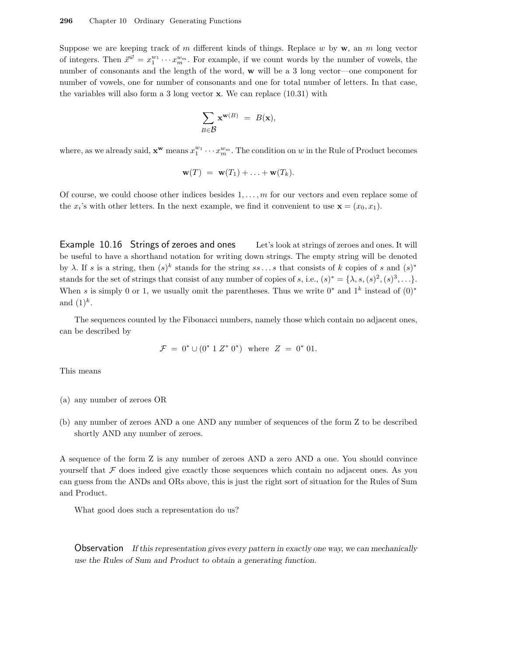Suppose we are keeping track of m different kinds of things. Replace w by  $\mathbf{w}$ , an m long vector of integers. Then  $\vec{x}^{\vec{w}} = x_1^{w_1} \cdots x_m^{w_m}$ . For example, if we count words by the number of vowels, the number of consonants and the length of the word, w will be a 3 long vector—one component for number of vowels, one for number of consonants and one for total number of letters. In that case, the variables will also form a 3 long vector  $x$ . We can replace  $(10.31)$  with

$$
\sum_{B \in \mathcal{B}} \mathbf{x}^{\mathbf{w}(B)} = B(\mathbf{x}),
$$

where, as we already said,  $\mathbf{x}^{\mathbf{w}}$  means  $x_1^{w_1} \cdots x_m^{w_m}$ . The condition on w in the Rule of Product becomes

$$
\mathbf{w}(T) = \mathbf{w}(T_1) + \ldots + \mathbf{w}(T_k).
$$

Of course, we could choose other indices besides  $1, \ldots, m$  for our vectors and even replace some of the  $x_i$ 's with other letters. In the next example, we find it convenient to use  $\mathbf{x} = (x_0, x_1)$ .

Example 10.16 Strings of zeroes and ones Let's look at strings of zeroes and ones. It will be useful to have a shorthand notation for writing down strings. The empty string will be denoted by  $\lambda$ . If s is a string, then  $(s)^k$  stands for the string  $ss \dots s$  that consists of k copies of s and  $(s)^*$ stands for the set of strings that consist of any number of copies of s, i.e.,  $(s)^* = \{\lambda, s, (s)^2, (s)^3, \ldots\}$ . When s is simply 0 or 1, we usually omit the parentheses. Thus we write  $0^*$  and  $1^k$  instead of  $(0)^*$ and  $(1)^k$ .

The sequences counted by the Fibonacci numbers, namely those which contain no adjacent ones, can be described by

$$
\mathcal{F} = 0^* \cup (0^* 1 Z^* 0^*) \text{ where } Z = 0^* 01.
$$

This means

- (a) any number of zeroes OR
- (b) any number of zeroes AND a one AND any number of sequences of the form Z to be described shortly AND any number of zeroes.

A sequence of the form Z is any number of zeroes AND a zero AND a one. You should convince yourself that  $F$  does indeed give exactly those sequences which contain no adjacent ones. As you can guess from the ANDs and ORs above, this is just the right sort of situation for the Rules of Sum and Product.

What good does such a representation do us?

Observation If this representation gives every pattern in exactly one way, we can mechanically use the Rules of Sum and Product to obtain a generating function.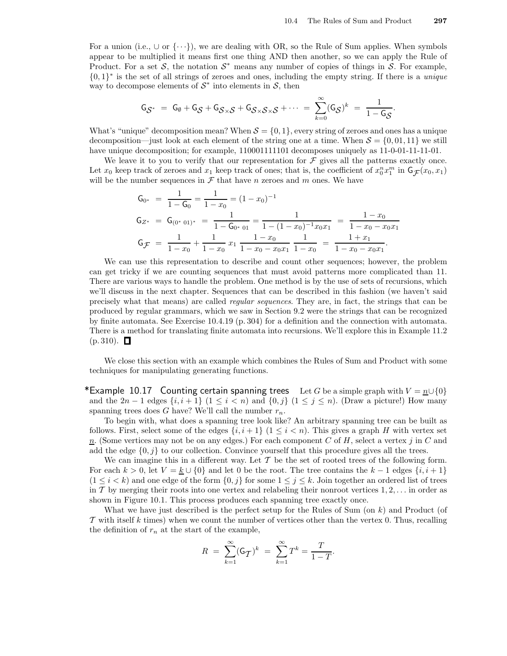For a union (i.e.,  $\cup$  or  $\{\cdot\cdot\cdot\}$ ), we are dealing with OR, so the Rule of Sum applies. When symbols appear to be multiplied it means first one thing AND then another, so we can apply the Rule of Product. For a set S, the notation  $S^*$  means any number of copies of things in S. For example,  $\{0,1\}^*$  is the set of all strings of zeroes and ones, including the empty string. If there is a *unique* way to decompose elements of  $S^*$  into elements in  $S$ , then

$$
\mathsf{G}_{\mathcal{S}^*} = \mathsf{G}_{\emptyset} + \mathsf{G}_{\mathcal{S}} + \mathsf{G}_{\mathcal{S}\times\mathcal{S}} + \mathsf{G}_{\mathcal{S}\times\mathcal{S}\times\mathcal{S}} + \cdots = \sum_{k=0}^{\infty} (\mathsf{G}_{\mathcal{S}})^k = \frac{1}{1 - \mathsf{G}_{\mathcal{S}}}.
$$

What's "unique" decomposition mean? When  $S = \{0, 1\}$ , every string of zeroes and ones has a unique decomposition—just look at each element of the string one at a time. When  $S = \{0, 01, 11\}$  we still have unique decomposition; for example,  $110001111101$  decomposes uniquely as  $11-0-01-11-11-01$ .

We leave it to you to verify that our representation for  $\mathcal F$  gives all the patterns exactly once. Let  $x_0$  keep track of zeroes and  $x_1$  keep track of ones; that is, the coefficient of  $x_0^n x_1^m$  in  $\mathsf{G}_{\mathcal{F}}(x_0, x_1)$ will be the number sequences in  $\mathcal F$  that have n zeroes and m ones. We have

$$
G_{0^*} = \frac{1}{1 - G_0} = \frac{1}{1 - x_0} = (1 - x_0)^{-1}
$$
  
\n
$$
G_{Z^*} = G_{(0^* \ 01)^*} = \frac{1}{1 - G_{0^* \ 01}} = \frac{1}{1 - (1 - x_0)^{-1} x_0 x_1} = \frac{1 - x_0}{1 - x_0 - x_0 x_1}
$$
  
\n
$$
G_{\mathcal{F}} = \frac{1}{1 - x_0} + \frac{1}{1 - x_0} x_1 \frac{1 - x_0}{1 - x_0 - x_0 x_1} \frac{1}{1 - x_0} = \frac{1 + x_1}{1 - x_0 - x_0 x_1}.
$$

We can use this representation to describe and count other sequences; however, the problem can get tricky if we are counting sequences that must avoid patterns more complicated than 11. There are various ways to handle the problem. One method is by the use of sets of recursions, which we'll discuss in the next chapter. Sequences that can be described in this fashion (we haven't said precisely what that means) are called regular sequences. They are, in fact, the strings that can be produced by regular grammars, which we saw in Section 9.2 were the strings that can be recognized by finite automata. See Exercise 10.4.19 (p. 304) for a definition and the connection with automata. There is a method for translating finite automata into recursions. We'll explore this in Example 11.2  $(p. 310)$ .  $\Box$ 

We close this section with an example which combines the Rules of Sum and Product with some techniques for manipulating generating functions.

\*Example 10.17 Counting certain spanning trees Let G be a simple graph with  $V = n \cup \{0\}$ and the  $2n-1$  edges  $\{i, i+1\}$   $(1 \leq i < n)$  and  $\{0, j\}$   $(1 \leq j \leq n)$ . (Draw a picture!) How many spanning trees does G have? We'll call the number  $r_n$ .

To begin with, what does a spanning tree look like? An arbitrary spanning tree can be built as follows. First, select some of the edges  $\{i, i+1\}$   $(1 \leq i \leq n)$ . This gives a graph H with vertex set  $n$ . (Some vertices may not be on any edges.) For each component C of H, select a vertex j in C and add the edge  $\{0, j\}$  to our collection. Convince yourself that this procedure gives all the trees.

We can imagine this in a different way. Let  $\mathcal T$  be the set of rooted trees of the following form. For each  $k > 0$ , let  $V = k \cup \{0\}$  and let 0 be the root. The tree contains the  $k - 1$  edges  $\{i, i + 1\}$  $(1 \leq i \leq k)$  and one edge of the form  $\{0, j\}$  for some  $1 \leq j \leq k$ . Join together an ordered list of trees in T by merging their roots into one vertex and relabeling their nonroot vertices  $1, 2, \ldots$  in order as shown in Figure 10.1. This process produces each spanning tree exactly once.

What we have just described is the perfect setup for the Rules of Sum (on  $k$ ) and Product (of  $\mathcal T$  with itself k times) when we count the number of vertices other than the vertex 0. Thus, recalling the definition of  $r_n$  at the start of the example,

$$
R = \sum_{k=1}^{\infty} (G_{\mathcal{T}})^k = \sum_{k=1}^{\infty} T^k = \frac{T}{1 - T}.
$$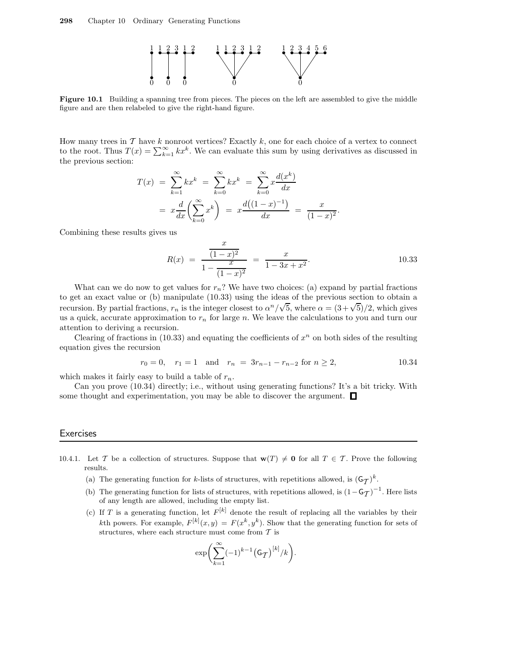

Figure 10.1 Building a spanning tree from pieces. The pieces on the left are assembled to give the middle figure and are then relabeled to give the right-hand figure.

How many trees in  $\mathcal T$  have k nonroot vertices? Exactly k, one for each choice of a vertex to connect to the root. Thus  $T(x) = \sum_{k=1}^{\infty} kx^k$ . We can evaluate this sum by using derivatives as discussed in the previous section:

$$
T(x) = \sum_{k=1}^{\infty} kx^k = \sum_{k=0}^{\infty} kx^k = \sum_{k=0}^{\infty} x \frac{d(x^k)}{dx}
$$
  
=  $x \frac{d}{dx} \left( \sum_{k=0}^{\infty} x^k \right) = x \frac{d((1-x)^{-1})}{dx} = \frac{x}{(1-x)^2}.$ 

Combining these results gives us

$$
R(x) = \frac{\frac{x}{(1-x)^2}}{1 - \frac{x}{(1-x)^2}} = \frac{x}{1 - 3x + x^2}.
$$
 10.33

What can we do now to get values for  $r_n$ ? We have two choices: (a) expand by partial fractions to get an exact value or (b) manipulate (10.33) using the ideas of the previous section to obtain a recursion. By partial fractions,  $r_n$  is the integer closest to  $\alpha^n/\sqrt{5}$ , where  $\alpha = (3+\sqrt{5})/2$ , which gives us a quick, accurate approximation to  $r_n$  for large n. We leave the calculations to you and turn our attention to deriving a recursion.

Clearing of fractions in  $(10.33)$  and equating the coefficients of  $x^n$  on both sides of the resulting equation gives the recursion

$$
r_0 = 0
$$
,  $r_1 = 1$  and  $r_n = 3r_{n-1} - r_{n-2}$  for  $n \ge 2$ ,  $10.34$ 

which makes it fairly easy to build a table of  $r_n$ .

Can you prove (10.34) directly; i.e., without using generating functions? It's a bit tricky. With some thought and experimentation, you may be able to discover the argument.  $\Box$ 

#### **Exercises**

- 10.4.1. Let T be a collection of structures. Suppose that  $\mathbf{w}(T) \neq \mathbf{0}$  for all  $T \in \mathcal{T}$ . Prove the following results.
	- (a) The generating function for k-lists of structures, with repetitions allowed, is  $(G_{\mathcal{T}})^k$ .
	- (b) The generating function for lists of structures, with repetitions allowed, is  $(1 G_T)^{-1}$ . Here lists of spy langth and allowed including the empty list of any length are allowed, including the empty list.
	- (c) If T is a generating function, let  $F^{[k]}$  denote the result of replacing all the variables by their kth powers. For example,  $F^{[k]}(x,y) = F(x^k, y^k)$ . Show that the generating function for sets of structures, where each structure must come from  $T$  is

$$
\exp\biggl(\sum_{k=1}^{\infty}(-1)^{k-1}\left(\mathsf{G}_{\mathcal{T}}\right)^{[k]}/k\biggr).
$$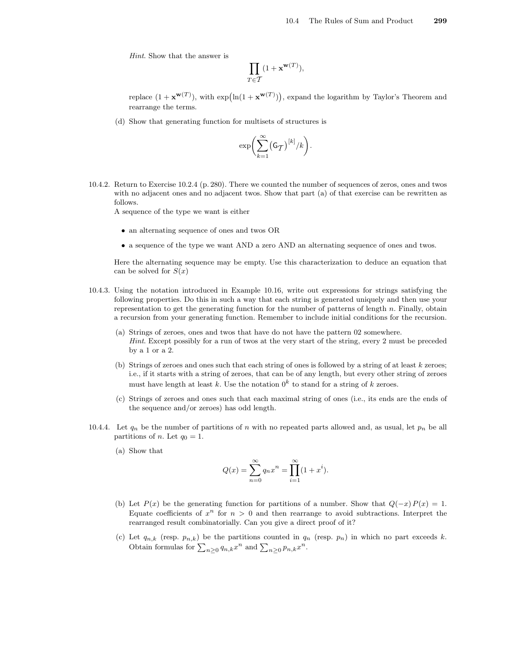Hint. Show that the answer is

$$
\prod_{T\in\mathcal{T}}(1+\mathbf{x}^{\mathbf{w}(T)}),
$$

replace  $(1 + \mathbf{x}^{\mathbf{w}(T)})$ , with  $\exp(\ln(1 + \mathbf{x}^{\mathbf{w}(T)}))$ , expand the logarithm by Taylor's Theorem and rearrange the terms.

(d) Show that generating function for multisets of structures is

$$
\exp\biggl(\sum_{k=1}^{\infty} \bigl(\mathsf{G}_{\mathcal{T}}\bigr)^{[k]}/k\biggr).
$$

10.4.2. Return to Exercise 10.2.4 (p. 280). There we counted the number of sequences of zeros, ones and twos with no adjacent ones and no adjacent twos. Show that part (a) of that exercise can be rewritten as follows.

A sequence of the type we want is either

- an alternating sequence of ones and twos OR
- a sequence of the type we want AND a zero AND an alternating sequence of ones and twos.

Here the alternating sequence may be empty. Use this characterization to deduce an equation that can be solved for  $S(x)$ 

- 10.4.3. Using the notation introduced in Example 10.16, write out expressions for strings satisfying the following properties. Do this in such a way that each string is generated uniquely and then use your representation to get the generating function for the number of patterns of length  $n$ . Finally, obtain a recursion from your generating function. Remember to include initial conditions for the recursion.
	- (a) Strings of zeroes, ones and twos that have do not have the pattern 02 somewhere. Hint. Except possibly for a run of twos at the very start of the string, every 2 must be preceded by a 1 or a 2.
	- (b) Strings of zeroes and ones such that each string of ones is followed by a string of at least  $k$  zeroes; i.e., if it starts with a string of zeroes, that can be of any length, but every other string of zeroes must have length at least k. Use the notation  $0^k$  to stand for a string of k zeroes.
	- (c) Strings of zeroes and ones such that each maximal string of ones (i.e., its ends are the ends of the sequence and/or zeroes) has odd length.
- 10.4.4. Let  $q_n$  be the number of partitions of n with no repeated parts allowed and, as usual, let  $p_n$  be all partitions of *n*. Let  $q_0 = 1$ .
	- (a) Show that

$$
Q(x) = \sum_{n=0}^{\infty} q_n x^n = \prod_{i=1}^{\infty} (1 + x^i).
$$

- (b) Let  $P(x)$  be the generating function for partitions of a number. Show that  $Q(-x)P(x) = 1$ . Equate coefficients of  $x^n$  for  $n > 0$  and then rearrange to avoid subtractions. Interpret the rearranged result combinatorially. Can you give a direct proof of it?
- (c) Let  $q_{n,k}$  (resp.  $p_{n,k}$ ) be the partitions counted in  $q_n$  (resp.  $p_n$ ) in which no part exceeds k. Obtain formulas for  $\sum_{n\geq 0} q_{n,k} x^n$  and  $\sum_{n\geq 0} p_{n,k} x^n$ .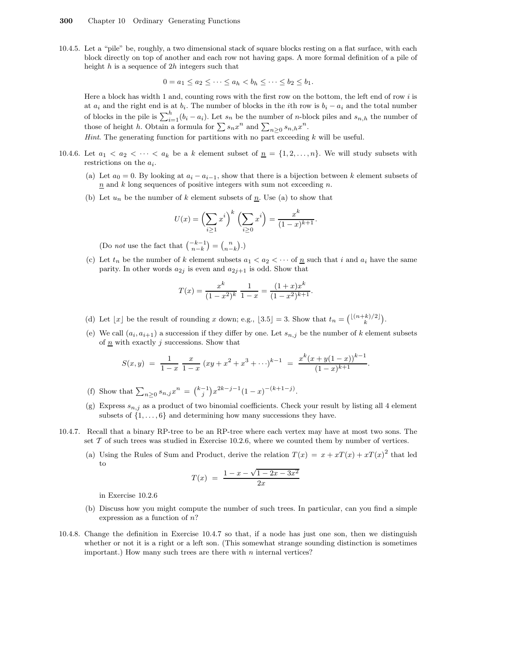10.4.5. Let a "pile" be, roughly, a two dimensional stack of square blocks resting on a flat surface, with each block directly on top of another and each row not having gaps. A more formal definition of a pile of height  $h$  is a sequence of  $2h$  integers such that

$$
0 = a_1 \leq a_2 \leq \cdots \leq a_h < b_h \leq \cdots \leq b_2 \leq b_1.
$$

Here a block has width 1 and, counting rows with the first row on the bottom, the left end of row  $i$  is at  $a_i$  and the right end is at  $b_i$ . The number of blocks in the *i*th row is  $b_i - a_i$  and the total number of blocks in the pile is  $\sum_{i=1}^{h} (b_i - a_i)$ . Let  $s_n$  be the number of *n*-block piles and  $s_{n,h}$  the number of those of height h. Obtain a formula for  $\sum s_n x^n$  and  $\sum_{n\geq 0} s_{n,h} x^n$ .

*Hint*. The generating function for partitions with no part exceeding  $k$  will be useful.

- 10.4.6. Let  $a_1 < a_2 < \cdots < a_k$  be a k element subset of  $\underline{n} = \{1, 2, \ldots, n\}$ . We will study subsets with restrictions on the  $a_i$ .
	- (a) Let  $a_0 = 0$ . By looking at  $a_i a_{i-1}$ , show that there is a bijection between k element subsets of  $n$  and k long sequences of positive integers with sum not exceeding n.
	- (b) Let  $u_n$  be the number of k element subsets of  $\underline{n}$ . Use (a) to show that

$$
U(x) = \left(\sum_{i\geq 1} x^i\right)^k \left(\sum_{i\geq 0} x^i\right) = \frac{x^k}{(1-x)^{k+1}}.
$$

(Do *not* use the fact that  $\binom{-k-1}{n-k} = \binom{n}{n-k}$ .)

(c) Let  $t_n$  be the number of k element subsets  $a_1 < a_2 < \cdots$  of  $\overline{n}$  such that i and  $a_i$  have the same parity. In other words  $a_{2j}$  is even and  $a_{2j+1}$  is odd. Show that

$$
T(x) = \frac{x^{k}}{(1-x^{2})^{k}} \frac{1}{1-x} = \frac{(1+x)x^{k}}{(1-x^{2})^{k+1}}.
$$

- (d) Let  $\lfloor x \rfloor$  be the result of rounding x down; e.g.,  $\lfloor 3.5 \rfloor = 3$ . Show that  $t_n = {\lfloor (n+k)/2 \rfloor \choose k}$ .
- (e) We call  $(a_i, a_{i+1})$  a succession if they differ by one. Let  $s_{n,j}$  be the number of k element subsets of  $\underline{n}$  with exactly j successions. Show that

$$
S(x,y) = \frac{1}{1-x} \frac{x}{1-x} (xy + x^2 + x^3 + \cdots)^{k-1} = \frac{x^k (x+y(1-x))^{k-1}}{(1-x)^{k+1}}.
$$

- (f) Show that  $\sum_{n\geq 0} s_{n,j} x^n = \binom{k-1}{j} x^{2k-j-1} (1-x)^{-(k+1-j)}$ .
- (g) Express  $s_{n,j}$  as a product of two binomial coefficients. Check your result by listing all 4 element subsets of  $\{1, \ldots, 6\}$  and determining how many successions they have.
- 10.4.7. Recall that a binary RP-tree to be an RP-tree where each vertex may have at most two sons. The set  $\mathcal T$  of such trees was studied in Exercise 10.2.6, where we counted them by number of vertices.
	- (a) Using the Rules of Sum and Product, derive the relation  $T(x) = x + xT(x) + xT(x)^2$  that led to

$$
T(x) = \frac{1 - x - \sqrt{1 - 2x - 3x^2}}{2x}
$$

in Exercise 10.2.6

- (b) Discuss how you might compute the number of such trees. In particular, can you find a simple expression as a function of  $n$ ?
- 10.4.8. Change the definition in Exercise 10.4.7 so that, if a node has just one son, then we distinguish whether or not it is a right or a left son. (This somewhat strange sounding distinction is sometimes important.) How many such trees are there with  $n$  internal vertices?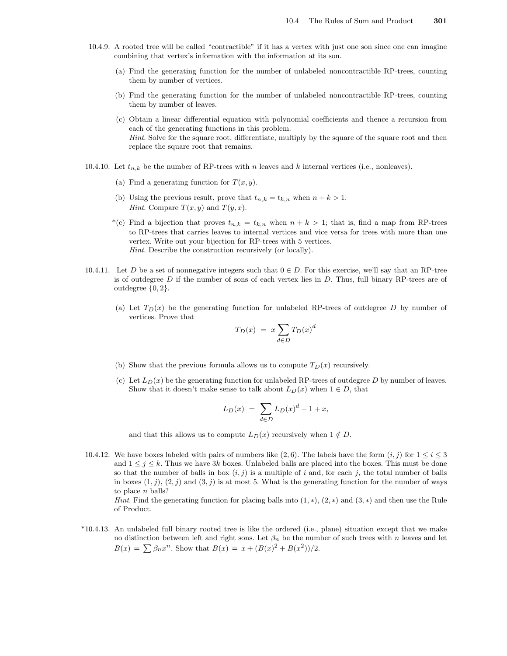- 10.4.9. A rooted tree will be called "contractible" if it has a vertex with just one son since one can imagine combining that vertex's information with the information at its son.
	- (a) Find the generating function for the number of unlabeled noncontractible RP-trees, counting them by number of vertices.
	- (b) Find the generating function for the number of unlabeled noncontractible RP-trees, counting them by number of leaves.
	- (c) Obtain a linear differential equation with polynomial coefficients and thence a recursion from each of the generating functions in this problem. Hint. Solve for the square root, differentiate, multiply by the square of the square root and then replace the square root that remains.
- 10.4.10. Let  $t_{n,k}$  be the number of RP-trees with n leaves and k internal vertices (i.e., nonleaves).
	- (a) Find a generating function for  $T(x, y)$ .
	- (b) Using the previous result, prove that  $t_{n,k} = t_{k,n}$  when  $n + k > 1$ . *Hint.* Compare  $T(x, y)$  and  $T(y, x)$ .
	- \*(c) Find a bijection that proves  $t_{n,k} = t_{k,n}$  when  $n + k > 1$ ; that is, find a map from RP-trees to RP-trees that carries leaves to internal vertices and vice versa for trees with more than one vertex. Write out your bijection for RP-trees with 5 vertices. Hint. Describe the construction recursively (or locally).
- 10.4.11. Let D be a set of nonnegative integers such that  $0 \in D$ . For this exercise, we'll say that an RP-tree is of outdegree D if the number of sons of each vertex lies in D. Thus, full binary RP-trees are of outdegree {0, 2}.
	- (a) Let  $T_D(x)$  be the generating function for unlabeled RP-trees of outdegree D by number of vertices. Prove that

$$
T_D(x) = x \sum_{d \in D} T_D(x)^d
$$

- (b) Show that the previous formula allows us to compute  $T_D(x)$  recursively.
- (c) Let  $L_D(x)$  be the generating function for unlabeled RP-trees of outdegree D by number of leaves. Show that it doesn't make sense to talk about  $L_D(x)$  when  $1 \in D$ , that

$$
L_D(x) \ = \ \sum_{d \in D} L_D(x)^d - 1 + x,
$$

and that this allows us to compute  $L_D(x)$  recursively when  $1 \notin D$ .

10.4.12. We have boxes labeled with pairs of numbers like  $(2, 6)$ . The labels have the form  $(i, j)$  for  $1 \le i \le 3$ and  $1 \leq j \leq k$ . Thus we have 3k boxes. Unlabeled balls are placed into the boxes. This must be done so that the number of balls in box  $(i, j)$  is a multiple of i and, for each j, the total number of balls in boxes  $(1, j)$ ,  $(2, j)$  and  $(3, j)$  is at most 5. What is the generating function for the number of ways to place  $n$  balls?

Hint. Find the generating function for placing balls into  $(1, *), (2, *)$  and  $(3, *)$  and then use the Rule of Product.

\*10.4.13. An unlabeled full binary rooted tree is like the ordered (i.e., plane) situation except that we make no distinction between left and right sons. Let  $\beta_n$  be the number of such trees with n leaves and let  $B(x) = \sum \beta_n x^n$ . Show that  $B(x) = x + (B(x)^2 + B(x^2))/2$ .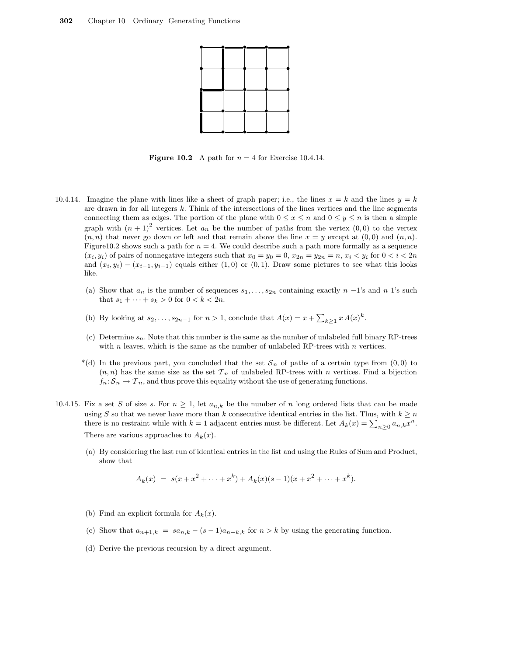

**Figure 10.2** A path for  $n = 4$  for Exercise 10.4.14.

- 10.4.14. Imagine the plane with lines like a sheet of graph paper; i.e., the lines  $x = k$  and the lines  $y = k$ are drawn in for all integers  $k$ . Think of the intersections of the lines vertices and the line segments connecting them as edges. The portion of the plane with  $0 \le x \le n$  and  $0 \le y \le n$  is then a simple graph with  $(n+1)^2$  vertices. Let  $a_n$  be the number of paths from the vertex  $(0,0)$  to the vertex  $(n, n)$  that never go down or left and that remain above the line  $x = y$  except at  $(0, 0)$  and  $(n, n)$ . Figure10.2 shows such a path for  $n = 4$ . We could describe such a path more formally as a sequence  $(x_i, y_i)$  of pairs of nonnegative integers such that  $x_0 = y_0 = 0$ ,  $x_{2n} = y_{2n} = n$ ,  $x_i < y_i$  for  $0 < i < 2n$ and  $(x_i, y_i) - (x_{i-1}, y_{i-1})$  equals either  $(1, 0)$  or  $(0, 1)$ . Draw some pictures to see what this looks like.
	- (a) Show that  $a_n$  is the number of sequences  $s_1, \ldots, s_{2n}$  containing exactly  $n-1$ 's and n 1's such that  $s_1 + \cdots + s_k > 0$  for  $0 < k < 2n$ .
	- (b) By looking at  $s_2, \ldots, s_{2n-1}$  for  $n > 1$ , conclude that  $A(x) = x + \sum_{k \geq 1} x A(x)^k$ .
	- (c) Determine  $s_n$ . Note that this number is the same as the number of unlabeled full binary RP-trees with  $n$  leaves, which is the same as the number of unlabeled RP-trees with  $n$  vertices.
	- \*(d) In the previous part, you concluded that the set  $S_n$  of paths of a certain type from  $(0,0)$  to  $(n, n)$  has the same size as the set  $\mathcal{T}_n$  of unlabeled RP-trees with n vertices. Find a bijection  $f_n: \mathcal{S}_n \to \mathcal{T}_n$ , and thus prove this equality without the use of generating functions.
- 10.4.15. Fix a set S of size s. For  $n \geq 1$ , let  $a_{n,k}$  be the number of n long ordered lists that can be made using S so that we never have more than k consecutive identical entries in the list. Thus, with  $k \geq n$ there is no restraint while with  $k = 1$  adjacent entries must be different. Let  $A_k(x) = \sum_{n \geq 0} a_{n,k} x^n$ . There are various approaches to  $A_k(x)$ .
	- (a) By considering the last run of identical entries in the list and using the Rules of Sum and Product, show that

$$
A_k(x) = s(x + x^2 + \dots + x^k) + A_k(x)(s-1)(x + x^2 + \dots + x^k).
$$

- (b) Find an explicit formula for  $A_k(x)$ .
- (c) Show that  $a_{n+1,k} = sa_{n,k} (s-1)a_{n-k,k}$  for  $n > k$  by using the generating function.
- (d) Derive the previous recursion by a direct argument.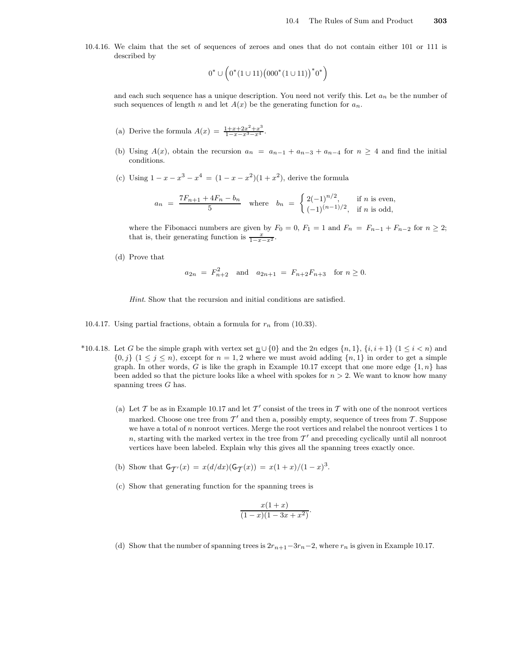10.4.16. We claim that the set of sequences of zeroes and ones that do not contain either 101 or 111 is described by

$$
0^* \cup \left(0^*(1 \cup 11)\left(000^*(1 \cup 11)\right)^*0^*\right)
$$

and each such sequence has a unique description. You need not verify this. Let  $a_n$  be the number of such sequences of length n and let  $A(x)$  be the generating function for  $a_n$ .

- (a) Derive the formula  $A(x) = \frac{1+x+2x^2+x^3}{1-x-x^3-x^4}$ .
- (b) Using  $A(x)$ , obtain the recursion  $a_n = a_{n-1} + a_{n-3} + a_{n-4}$  for  $n \geq 4$  and find the initial conditions.
- (c) Using  $1 x x^3 x^4 = (1 x x^2)(1 + x^2)$ , derive the formula

$$
a_n = \frac{7F_{n+1} + 4F_n - b_n}{5} \quad \text{where} \quad b_n = \begin{cases} 2(-1)^{n/2}, & \text{if } n \text{ is even,} \\ (-1)^{(n-1)/2}, & \text{if } n \text{ is odd,} \end{cases}
$$

where the Fibonacci numbers are given by  $F_0 = 0$ ,  $F_1 = 1$  and  $F_n = F_{n-1} + F_{n-2}$  for  $n \geq 2$ ; that is, their generating function is  $\frac{x}{1-x-x^2}$ .

(d) Prove that

$$
a_{2n} = F_{n+2}^2
$$
 and  $a_{2n+1} = F_{n+2}F_{n+3}$  for  $n \ge 0$ .

Hint. Show that the recursion and initial conditions are satisfied.

- 10.4.17. Using partial fractions, obtain a formula for  $r_n$  from (10.33).
- \*10.4.18. Let G be the simple graph with vertex set  $\underline{n} \cup \{0\}$  and the 2n edges  $\{n, 1\}$ ,  $\{i, i + 1\}$   $(1 \leq i < n)$  and  $\{0, j\}$   $(1 \leq j \leq n)$ , except for  $n = 1, 2$  where we must avoid adding  $\{n, 1\}$  in order to get a simple graph. In other words, G is like the graph in Example 10.17 except that one more edge  $\{1,n\}$  has been added so that the picture looks like a wheel with spokes for  $n > 2$ . We want to know how many spanning trees  $G$  has.
	- (a) Let T be as in Example 10.17 and let T' consist of the trees in T with one of the nonroot vertices marked. Choose one tree from  $\mathcal{T}'$  and then a, possibly empty, sequence of trees from  $\mathcal{T}$ . Suppose we have a total of  $n$  nonroot vertices. Merge the root vertices and relabel the nonroot vertices  $1$  to n, starting with the marked vertex in the tree from  $\mathcal{T}'$  and preceding cyclically until all nonroot vertices have been labeled. Explain why this gives all the spanning trees exactly once.
	- (b) Show that  $G_{\mathcal{T}'}(x) = x(d/dx)(G_{\mathcal{T}}(x)) = x(1+x)/(1-x)^3$ .
	- (c) Show that generating function for the spanning trees is

$$
\frac{x(1+x)}{(1-x)(1-3x+x^2)}.
$$

(d) Show that the number of spanning trees is  $2r_{n+1}-3r_n-2$ , where  $r_n$  is given in Example 10.17.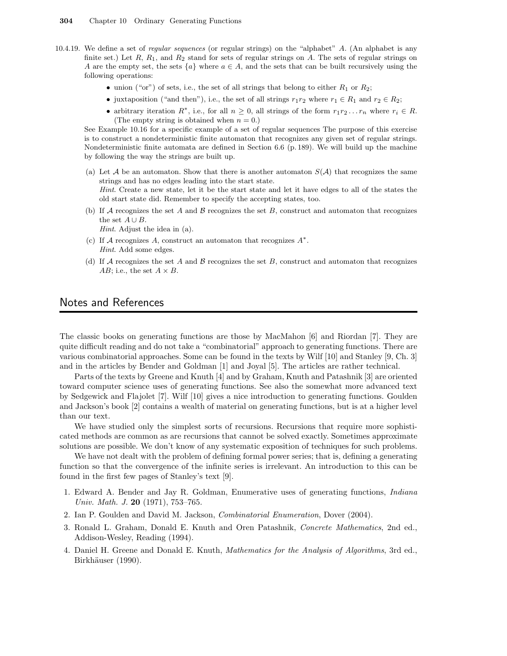- 10.4.19. We define a set of *regular sequences* (or regular strings) on the "alphabet" A. (An alphabet is any finite set.) Let  $R$ ,  $R_1$ , and  $R_2$  stand for sets of regular strings on A. The sets of regular strings on A are the empty set, the sets  ${a} \$  where  $a \in A$ , and the sets that can be built recursively using the following operations:
	- union ("or") of sets, i.e., the set of all strings that belong to either  $R_1$  or  $R_2$ ;
	- juxtaposition ("and then"), i.e., the set of all strings  $r_1r_2$  where  $r_1 \in R_1$  and  $r_2 \in R_2$ ;
	- arbitrary iteration  $R^*$ , i.e., for all  $n \geq 0$ , all strings of the form  $r_1r_2 \ldots r_n$  where  $r_i \in R$ . (The empty string is obtained when  $n = 0$ .)

See Example 10.16 for a specific example of a set of regular sequences The purpose of this exercise is to construct a nondeterministic finite automaton that recognizes any given set of regular strings. Nondeterministic finite automata are defined in Section 6.6 (p. 189). We will build up the machine by following the way the strings are built up.

- (a) Let A be an automaton. Show that there is another automaton  $S(\mathcal{A})$  that recognizes the same strings and has no edges leading into the start state. Hint. Create a new state, let it be the start state and let it have edges to all of the states the old start state did. Remember to specify the accepting states, too.
- (b) If  $A$  recognizes the set A and  $B$  recognizes the set B, construct and automaton that recognizes the set  $A \cup B$ .

Hint. Adjust the idea in (a).

- (c) If A recognizes A, construct an automaton that recognizes  $A^*$ . Hint. Add some edges.
- (d) If A recognizes the set A and B recognizes the set B, construct and automaton that recognizes AB; i.e., the set  $A \times B$ .

### Notes and References

The classic books on generating functions are those by MacMahon [6] and Riordan [7]. They are quite difficult reading and do not take a "combinatorial" approach to generating functions. There are various combinatorial approaches. Some can be found in the texts by Wilf [10] and Stanley [9, Ch. 3] and in the articles by Bender and Goldman [1] and Joyal [5]. The articles are rather technical.

Parts of the texts by Greene and Knuth [4] and by Graham, Knuth and Patashnik [3] are oriented toward computer science uses of generating functions. See also the somewhat more advanced text by Sedgewick and Flajolet [7]. Wilf [10] gives a nice introduction to generating functions. Goulden and Jackson's book [2] contains a wealth of material on generating functions, but is at a higher level than our text.

We have studied only the simplest sorts of recursions. Recursions that require more sophisticated methods are common as are recursions that cannot be solved exactly. Sometimes approximate solutions are possible. We don't know of any systematic exposition of techniques for such problems.

We have not dealt with the problem of defining formal power series; that is, defining a generating function so that the convergence of the infinite series is irrelevant. An introduction to this can be found in the first few pages of Stanley's text [9].

- 1. Edward A. Bender and Jay R. Goldman, Enumerative uses of generating functions, Indiana Univ. Math. J. 20  $(1971)$ , 753–765.
- 2. Ian P. Goulden and David M. Jackson, Combinatorial Enumeration, Dover (2004).
- 3. Ronald L. Graham, Donald E. Knuth and Oren Patashnik, Concrete Mathematics, 2nd ed., Addison-Wesley, Reading (1994).
- 4. Daniel H. Greene and Donald E. Knuth, Mathematics for the Analysis of Algorithms, 3rd ed., Birkhäuser (1990).